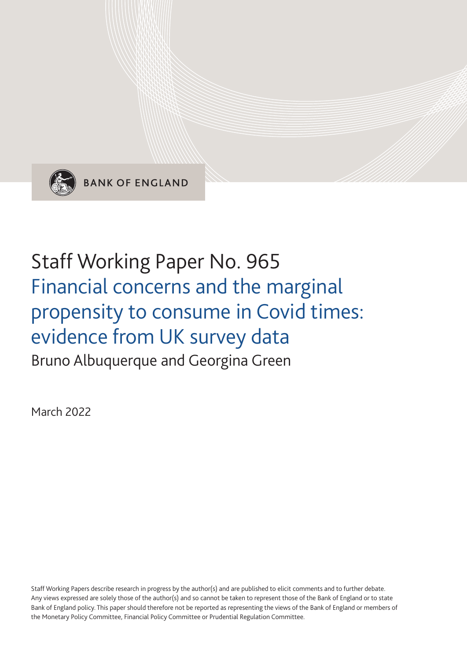

**BANK OF ENGLAND** 

# Staff Working Paper No. 965 Financial concerns and the marginal propensity to consume in Covid times: evidence from UK survey data Bruno Albuquerque and Georgina Green

March 2022

Staff Working Papers describe research in progress by the author(s) and are published to elicit comments and to further debate. Any views expressed are solely those of the author(s) and so cannot be taken to represent those of the Bank of England or to state Bank of England policy. This paper should therefore not be reported as representing the views of the Bank of England or members of the Monetary Policy Committee, Financial Policy Committee or Prudential Regulation Committee.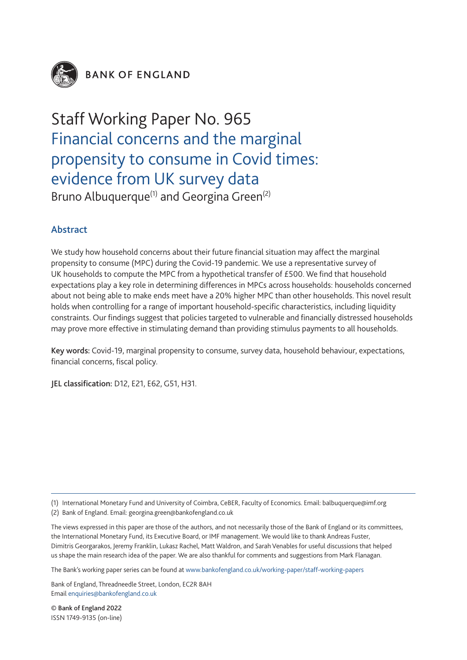

**BANK OF ENGLAND** 

# Staff Working Paper No. 965 Financial concerns and the marginal propensity to consume in Covid times: evidence from UK survey data Bruno Albuquerque<sup>(1)</sup> and Georgina Green<sup>(2)</sup>

## Abstract

We study how household concerns about their future financial situation may affect the marginal propensity to consume (MPC) during the Covid-19 pandemic. We use a representative survey of UK households to compute the MPC from a hypothetical transfer of £500. We find that household expectations play a key role in determining differences in MPCs across households: households concerned about not being able to make ends meet have a 20% higher MPC than other households. This novel result holds when controlling for a range of important household-specific characteristics, including liquidity constraints. Our findings suggest that policies targeted to vulnerable and financially distressed households may prove more effective in stimulating demand than providing stimulus payments to all households.

Key words: Covid-19, marginal propensity to consume, survey data, household behaviour, expectations, financial concerns, fiscal policy.

JEL classification: D12, E21, E62, G51, H31.

(1) International Monetary Fund and University of Coimbra, CeBER, Faculty of Economics. Email: balbuquerque@imf.org

(2) Bank of England. Email: georgina.green@bankofengland.co.uk

The views expressed in this paper are those of the authors, and not necessarily those of the Bank of England or its committees, the International Monetary Fund, its Executive Board, or IMF management. We would like to thank Andreas Fuster, Dimitris Georgarakos, Jeremy Franklin, Lukasz Rachel, Matt Waldron, and Sarah Venables for useful discussions that helped us shape the main research idea of the paper. We are also thankful for comments and suggestions from Mark Flanagan.

The Bank's working paper series can be found at www.bankofengland.co.uk/working-paper/staff-working-papers

Bank of England, Threadneedle Street, London, EC2R 8AH Email enquiries@bankofengland.co.uk

© Bank of England 2022 ISSN 1749-9135 (on-line)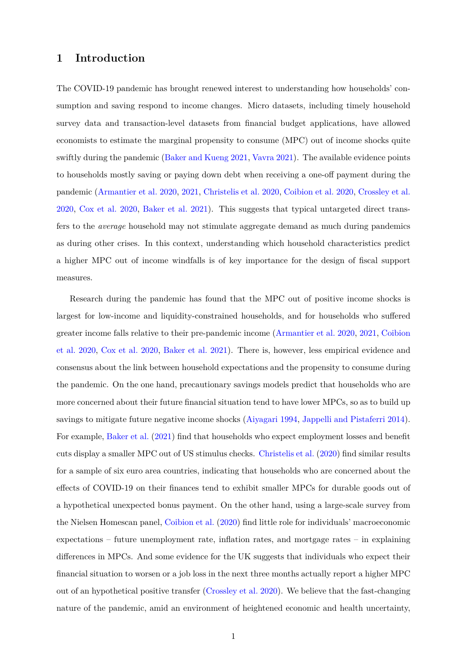## **1 Introduction**

The COVID-19 pandemic has brought renewed interest to understanding how households' consumption and saving respond to income changes. Micro datasets, including timely household survey data and transaction-level datasets from fnancial budget applications, have allowed economists to estimate the marginal propensity to consume (MPC) out of income shocks quite swiftly during the pandemic [\(Baker and Kueng 2021,](#page-47-0) [Vavra 2021\)](#page-50-0). The available evidence points to households mostly saving or paying down debt when receiving a one-off payment during the pandemic [\(Armantier et al. 2020,](#page-47-1) [2021,](#page-47-2) [Christelis et al. 2020,](#page-48-0) [Coibion et al. 2020,](#page-48-1) [Crossley et al.](#page-48-2)  [2020,](#page-48-2) [Cox et al. 2020,](#page-48-3) [Baker et al. 2021\)](#page-47-3). This suggests that typical untargeted direct transfers to the *average* household may not stimulate aggregate demand as much during pandemics as during other crises. In this context, understanding which household characteristics predict a higher MPC out of income windfalls is of key importance for the design of fscal support measures.

Research during the pandemic has found that the MPC out of positive income shocks is largest for low-income and liquidity-constrained households, and for households who suffered greater income falls relative to their pre-pandemic income [\(Armantier et al. 2020,](#page-47-1) [2021,](#page-47-2) [Coibion](#page-48-1)  [et al. 2020,](#page-48-1) [Cox et al. 2020,](#page-48-3) [Baker et al. 2021\)](#page-47-3). There is, however, less empirical evidence and consensus about the link between household expectations and the propensity to consume during the pandemic. On the one hand, precautionary savings models predict that households who are more concerned about their future fnancial situation tend to have lower MPCs, so as to build up savings to mitigate future negative income shocks [\(Aiyagari 1994,](#page-47-4) [Jappelli and Pistaferri 2014\)](#page-49-0). For example, [Baker et al. \(2021\)](#page-47-3) fnd that households who expect employment losses and beneft cuts display a smaller MPC out of US stimulus checks. [Christelis et al. \(2020\)](#page-48-0) fnd similar results for a sample of six euro area countries, indicating that households who are concerned about the effects of COVID-19 on their finances tend to exhibit smaller MPCs for durable goods out of a hypothetical unexpected bonus payment. On the other hand, using a large-scale survey from the Nielsen Homescan panel, [Coibion et al. \(2020\)](#page-48-1) fnd little role for individuals' macroeconomic expectations – future unemployment rate, infation rates, and mortgage rates – in explaining differences in MPCs. And some evidence for the UK suggests that individuals who expect their fnancial situation to worsen or a job loss in the next three months actually report a higher MPC out of an hypothetical positive transfer [\(Crossley et al. 2020\)](#page-48-2). We believe that the fast-changing nature of the pandemic, amid an environment of heightened economic and health uncertainty,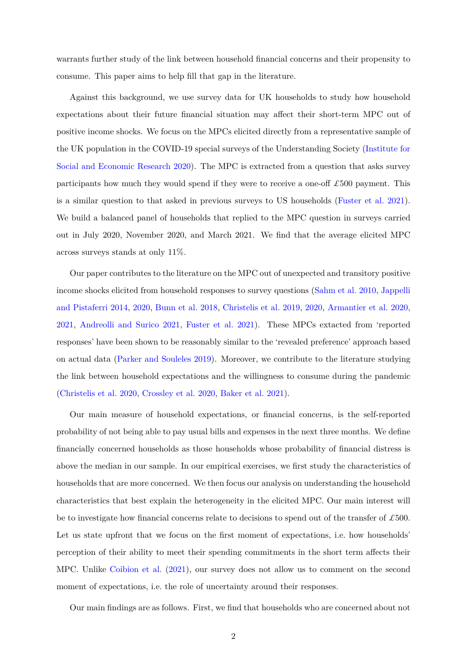warrants further study of the link between household fnancial concerns and their propensity to consume. This paper aims to help fll that gap in the literature.

Against this background, we use survey data for UK households to study how household expectations about their future financial situation may affect their short-term MPC out of positive income shocks. We focus on the MPCs elicited directly from a representative sample of the UK population in the COVID-19 special surveys of the Understanding Society [\(Institute for](#page-48-4)  [Social and Economic Research 2020\)](#page-48-4). The MPC is extracted from a question that asks survey participants how much they would spend if they were to receive a one-off  $\pounds 500$  payment. This is a similar question to that asked in previous surveys to US households [\(Fuster et al. 2021\)](#page-48-5). We build a balanced panel of households that replied to the MPC question in surveys carried out in July 2020, November 2020, and March 2021. We fnd that the average elicited MPC across surveys stands at only 11%.

Our paper contributes to the literature on the MPC out of unexpected and transitory positive income shocks elicited from household responses to survey questions [\(Sahm et al. 2010,](#page-50-1) [Jappelli](#page-49-0)  [and Pistaferri 2014,](#page-49-0) [2020,](#page-49-1) [Bunn et al. 2018,](#page-47-5) [Christelis et al. 2019,](#page-48-6) [2020,](#page-48-0) [Armantier et al. 2020,](#page-47-1) [2021,](#page-47-2) [Andreolli and Surico 2021,](#page-47-6) [Fuster et al. 2021\)](#page-48-5). These MPCs extacted from 'reported responses' have been shown to be reasonably similar to the 'revealed preference' approach based on actual data [\(Parker and Souleles 2019\)](#page-49-2). Moreover, we contribute to the literature studying the link between household expectations and the willingness to consume during the pandemic [\(Christelis et al. 2020,](#page-48-0) [Crossley et al. 2020,](#page-48-2) [Baker et al. 2021\)](#page-47-3).

Our main measure of household expectations, or fnancial concerns, is the self-reported probability of not being able to pay usual bills and expenses in the next three months. We defne fnancially concerned households as those households whose probability of fnancial distress is above the median in our sample. In our empirical exercises, we frst study the characteristics of households that are more concerned. We then focus our analysis on understanding the household characteristics that best explain the heterogeneity in the elicited MPC. Our main interest will be to investigate how fnancial concerns relate to decisions to spend out of the transfer of *£*500. Let us state upfront that we focus on the frst moment of expectations, i.e. how households' perception of their ability to meet their spending commitments in the short term affects their MPC. Unlike [Coibion et al. \(2021\)](#page-48-7), our survey does not allow us to comment on the second moment of expectations, i.e. the role of uncertainty around their responses.

Our main fndings are as follows. First, we fnd that households who are concerned about not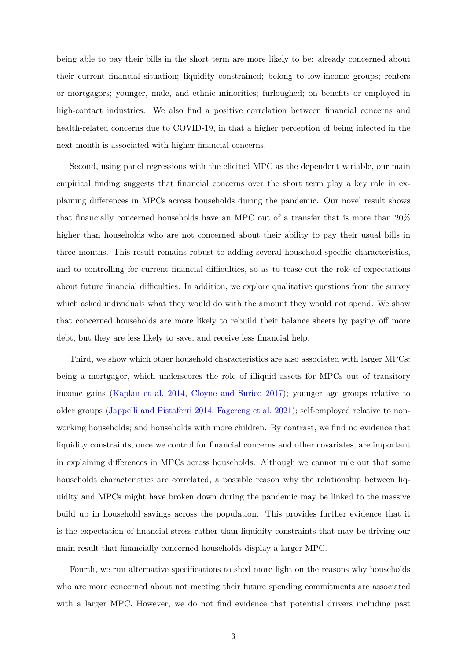being able to pay their bills in the short term are more likely to be: already concerned about their current fnancial situation; liquidity constrained; belong to low-income groups; renters or mortgagors; younger, male, and ethnic minorities; furloughed; on benefts or employed in high-contact industries. We also find a positive correlation between financial concerns and health-related concerns due to COVID-19, in that a higher perception of being infected in the next month is associated with higher fnancial concerns.

Second, using panel regressions with the elicited MPC as the dependent variable, our main empirical fnding suggests that fnancial concerns over the short term play a key role in explaining differences in MPCs across households during the pandemic. Our novel result shows that fnancially concerned households have an MPC out of a transfer that is more than 20% higher than households who are not concerned about their ability to pay their usual bills in three months. This result remains robust to adding several household-specifc characteristics, and to controlling for current financial difficulties, so as to tease out the role of expectations about future financial difficulties. In addition, we explore qualitative questions from the survey which asked individuals what they would do with the amount they would not spend. We show that concerned households are more likely to rebuild their balance sheets by paying off more debt, but they are less likely to save, and receive less fnancial help.

Third, we show which other household characteristics are also associated with larger MPCs: being a mortgagor, which underscores the role of illiquid assets for MPCs out of transitory income gains [\(Kaplan et al. 2014,](#page-49-3) [Cloyne and Surico 2017\)](#page-48-8); younger age groups relative to older groups [\(Jappelli and Pistaferri 2014,](#page-49-0) [Fagereng et al. 2021\)](#page-48-9); self-employed relative to nonworking households; and households with more children. By contrast, we fnd no evidence that liquidity constraints, once we control for fnancial concerns and other covariates, are important in explaining differences in MPCs across households. Although we cannot rule out that some households characteristics are correlated, a possible reason why the relationship between liquidity and MPCs might have broken down during the pandemic may be linked to the massive build up in household savings across the population. This provides further evidence that it is the expectation of fnancial stress rather than liquidity constraints that may be driving our main result that fnancially concerned households display a larger MPC.

Fourth, we run alternative specifcations to shed more light on the reasons why households who are more concerned about not meeting their future spending commitments are associated with a larger MPC. However, we do not find evidence that potential drivers including past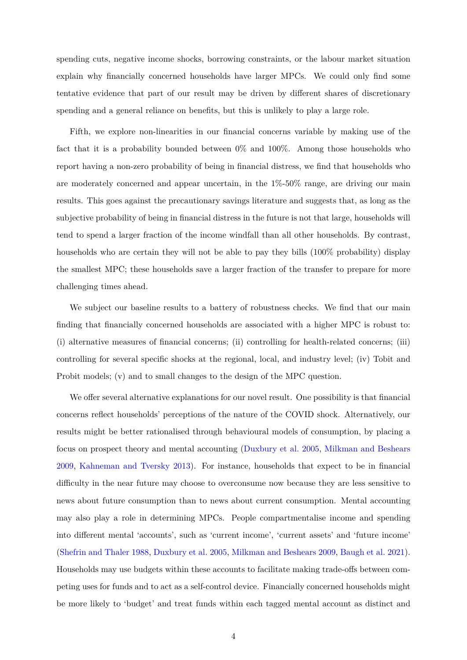spending cuts, negative income shocks, borrowing constraints, or the labour market situation explain why fnancially concerned households have larger MPCs. We could only fnd some tentative evidence that part of our result may be driven by different shares of discretionary spending and a general reliance on benefts, but this is unlikely to play a large role.

Fifth, we explore non-linearities in our fnancial concerns variable by making use of the fact that it is a probability bounded between 0% and 100%. Among those households who report having a non-zero probability of being in fnancial distress, we fnd that households who are moderately concerned and appear uncertain, in the 1%-50% range, are driving our main results. This goes against the precautionary savings literature and suggests that, as long as the subjective probability of being in fnancial distress in the future is not that large, households will tend to spend a larger fraction of the income windfall than all other households. By contrast, households who are certain they will not be able to pay they bills (100% probability) display the smallest MPC; these households save a larger fraction of the transfer to prepare for more challenging times ahead.

We subject our baseline results to a battery of robustness checks. We find that our main fnding that fnancially concerned households are associated with a higher MPC is robust to: (i) alternative measures of fnancial concerns; (ii) controlling for health-related concerns; (iii) controlling for several specifc shocks at the regional, local, and industry level; (iv) Tobit and Probit models; (v) and to small changes to the design of the MPC question.

We offer several alternative explanations for our novel result. One possibility is that financial concerns refect households' perceptions of the nature of the COVID shock. Alternatively, our results might be better rationalised through behavioural models of consumption, by placing a focus on prospect theory and mental accounting [\(Duxbury et al. 2005,](#page-48-10) [Milkman and Beshears](#page-49-4)  [2009,](#page-49-4) [Kahneman and Tversky 2013\)](#page-49-5). For instance, households that expect to be in fnancial difficulty in the near future may choose to overconsume now because they are less sensitive to news about future consumption than to news about current consumption. Mental accounting may also play a role in determining MPCs. People compartmentalise income and spending into different mental 'accounts', such as 'current income', 'current assets' and 'future income' [\(Shefrin and Thaler 1988,](#page-50-2) [Duxbury et al. 2005,](#page-48-10) [Milkman and Beshears 2009,](#page-49-4) [Baugh et al. 2021\)](#page-47-7). Households may use budgets within these accounts to facilitate making trade-offs between competing uses for funds and to act as a self-control device. Financially concerned households might be more likely to 'budget' and treat funds within each tagged mental account as distinct and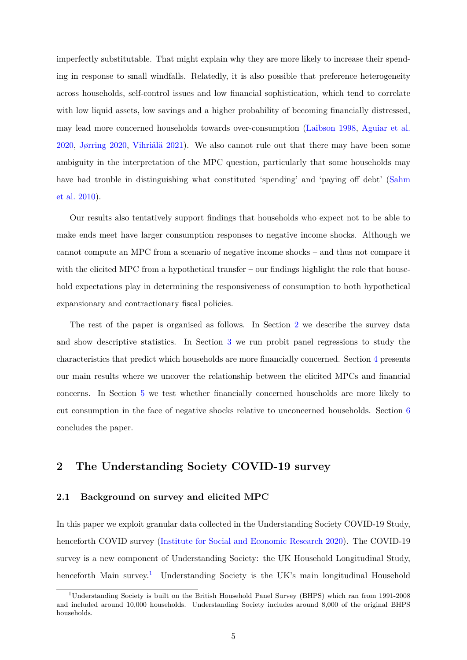imperfectly substitutable. That might explain why they are more likely to increase their spending in response to small windfalls. Relatedly, it is also possible that preference heterogeneity across households, self-control issues and low fnancial sophistication, which tend to correlate with low liquid assets, low savings and a higher probability of becoming financially distressed, may lead more concerned households towards over-consumption [\(Laibson 1998,](#page-49-6) [Aguiar et al.](#page-47-8)  [2020,](#page-47-8) [Jørring 2020,](#page-49-7) [Vihriälä 2021\)](#page-50-3). We also cannot rule out that there may have been some ambiguity in the interpretation of the MPC question, particularly that some households may have had trouble in distinguishing what constituted 'spending' and 'paying off debt' (Sahm [et al. 2010\)](#page-50-1).

Our results also tentatively support fndings that households who expect not to be able to make ends meet have larger consumption responses to negative income shocks. Although we cannot compute an MPC from a scenario of negative income shocks – and thus not compare it with the elicited MPC from a hypothetical transfer – our findings highlight the role that household expectations play in determining the responsiveness of consumption to both hypothetical expansionary and contractionary fscal policies.

The rest of the paper is organised as follows. In Section [2](#page-6-0) we describe the survey data and show descriptive statistics. In Section [3](#page-14-0) we run probit panel regressions to study the characteristics that predict which households are more fnancially concerned. Section [4](#page-18-0) presents our main results where we uncover the relationship between the elicited MPCs and fnancial concerns. In Section [5](#page-34-0) we test whether fnancially concerned households are more likely to cut consumption in the face of negative shocks relative to unconcerned households. Section [6](#page-37-0)  concludes the paper.

### <span id="page-6-0"></span>**2 The Understanding Society COVID-19 survey**

#### **2.1 Background on survey and elicited MPC**

In this paper we exploit granular data collected in the Understanding Society COVID-19 Study, henceforth COVID survey [\(Institute for Social and Economic Research 2020\)](#page-48-4). The COVID-19 survey is a new component of Understanding Society: the UK Household Longitudinal Study, henceforth Main survey.<sup>1</sup> Understanding Society is the UK's main longitudinal Household

<span id="page-6-1"></span><sup>1</sup>Understanding Society is built on the British Household Panel Survey (BHPS) which ran from 1991-2008 and included around 10,000 households. Understanding Society includes around 8,000 of the original BHPS households.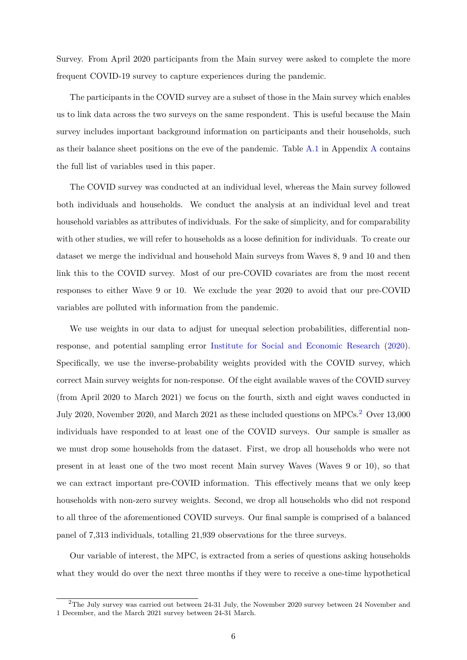Survey. From April 2020 participants from the Main survey were asked to complete the more frequent COVID-19 survey to capture experiences during the pandemic.

The participants in the COVID survey are a subset of those in the Main survey which enables us to link data across the two surveys on the same respondent. This is useful because the Main survey includes important background information on participants and their households, such as their balance sheet positions on the eve of the pandemic. Table  $A.1$  in Appendix [A](#page-38-1) contains the full list of variables used in this paper.

The COVID survey was conducted at an individual level, whereas the Main survey followed both individuals and households. We conduct the analysis at an individual level and treat household variables as attributes of individuals. For the sake of simplicity, and for comparability with other studies, we will refer to households as a loose defnition for individuals. To create our dataset we merge the individual and household Main surveys from Waves 8, 9 and 10 and then link this to the COVID survey. Most of our pre-COVID covariates are from the most recent responses to either Wave 9 or 10. We exclude the year 2020 to avoid that our pre-COVID variables are polluted with information from the pandemic.

We use weights in our data to adjust for unequal selection probabilities, differential nonresponse, and potential sampling error [Institute for Social and Economic Research \(2020\)](#page-48-4). Specifcally, we use the inverse-probability weights provided with the COVID survey, which correct Main survey weights for non-response. Of the eight available waves of the COVID survey (from April 2020 to March 2021) we focus on the fourth, sixth and eight waves conducted in July 2020, November 2020, and March 2021 as these included questions on MPCs.[2](#page-7-0) Over 13,000 individuals have responded to at least one of the COVID surveys. Our sample is smaller as we must drop some households from the dataset. First, we drop all households who were not present in at least one of the two most recent Main survey Waves (Waves 9 or 10), so that we can extract important pre-COVID information. This effectively means that we only keep households with non-zero survey weights. Second, we drop all households who did not respond to all three of the aforementioned COVID surveys. Our fnal sample is comprised of a balanced panel of 7,313 individuals, totalling 21,939 observations for the three surveys.

Our variable of interest, the MPC, is extracted from a series of questions asking households what they would do over the next three months if they were to receive a one-time hypothetical

<span id="page-7-0"></span> $2$ The July survey was carried out between 24-31 July, the November 2020 survey between 24 November and 1 December, and the March 2021 survey between 24-31 March.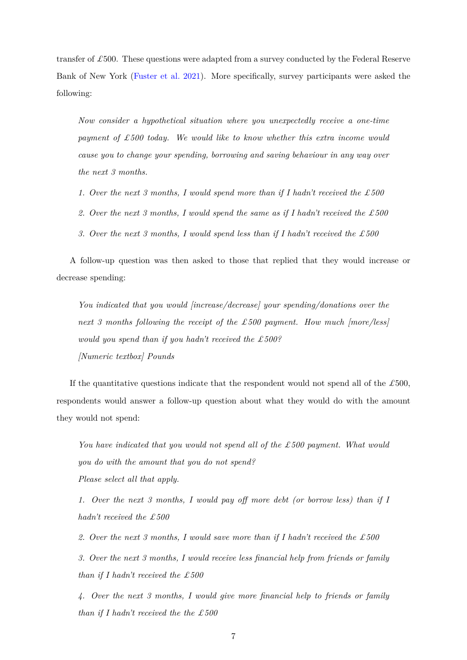transfer of *£*500. These questions were adapted from a survey conducted by the Federal Reserve Bank of New York [\(Fuster et al. 2021\)](#page-48-5). More specifcally, survey participants were asked the following:

*Now consider a hypothetical situation where you unexpectedly receive a one-time payment of £500 today. We would like to know whether this extra income would cause you to change your spending, borrowing and saving behaviour in any way over the next 3 months.* 

- *1. Over the next 3 months, I would spend more than if I hadn't received the £500*
- *2. Over the next 3 months, I would spend the same as if I hadn't received the £500*
- *3. Over the next 3 months, I would spend less than if I hadn't received the £500*

A follow-up question was then asked to those that replied that they would increase or decrease spending:

*You indicated that you would [increase/decrease] your spending/donations over the next 3 months following the receipt of the £500 payment. How much [more/less] would you spend than if you hadn't received the £500? [Numeric textbox] Pounds* 

If the quantitative questions indicate that the respondent would not spend all of the  $\pounds$ 500, respondents would answer a follow-up question about what they would do with the amount they would not spend:

*You have indicated that you would not spend all of the £500 payment. What would you do with the amount that you do not spend? Please select all that apply.* 

*1. Over the next 3 months, I would pay off more debt (or borrow less) than if I hadn't received the £500* 

*2. Over the next 3 months, I would save more than if I hadn't received the £500 3. Over the next 3 months, I would receive less fnancial help from friends or family than if I hadn't received the £500* 

*4. Over the next 3 months, I would give more fnancial help to friends or family than if I hadn't received the the £500*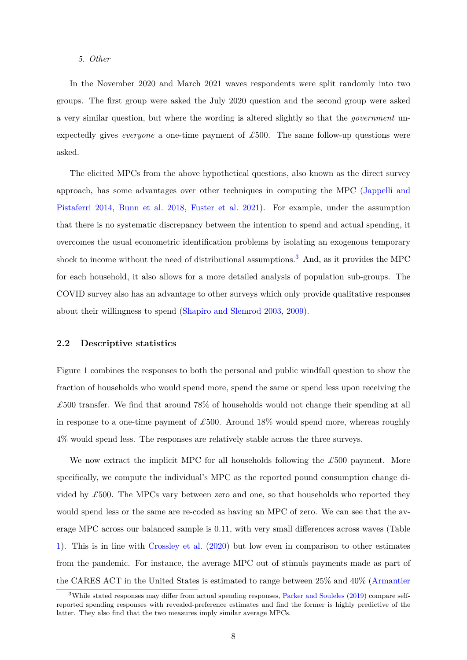#### *5. Other*

In the November 2020 and March 2021 waves respondents were split randomly into two groups. The frst group were asked the July 2020 question and the second group were asked a very similar question, but where the wording is altered slightly so that the *government* unexpectedly gives *everyone* a one-time payment of *£*500. The same follow-up questions were asked.

The elicited MPCs from the above hypothetical questions, also known as the direct survey approach, has some advantages over other techniques in computing the MPC [\(Jappelli and](#page-49-0)  [Pistaferri 2014,](#page-49-0) [Bunn et al. 2018,](#page-47-5) [Fuster et al. 2021\)](#page-48-5). For example, under the assumption that there is no systematic discrepancy between the intention to spend and actual spending, it overcomes the usual econometric identifcation problems by isolating an exogenous temporary shock to income without the need of distributional assumptions.<sup>3</sup> And, as it provides the MPC for each household, it also allows for a more detailed analysis of population sub-groups. The COVID survey also has an advantage to other surveys which only provide qualitative responses about their willingness to spend [\(Shapiro and Slemrod 2003,](#page-50-4) [2009\)](#page-50-5).

#### **2.2 Descriptive statistics**

Figure [1](#page-10-0) combines the responses to both the personal and public windfall question to show the fraction of households who would spend more, spend the same or spend less upon receiving the *£*500 transfer. We fnd that around 78% of households would not change their spending at all in response to a one-time payment of *£*500. Around 18% would spend more, whereas roughly 4% would spend less. The responses are relatively stable across the three surveys.

We now extract the implicit MPC for all households following the *£*500 payment. More specifcally, we compute the individual's MPC as the reported pound consumption change divided by *£*500. The MPCs vary between zero and one, so that households who reported they would spend less or the same are re-coded as having an MPC of zero. We can see that the average MPC across our balanced sample is 0.11, with very small differences across waves (Table [1\)](#page-11-0). This is in line with [Crossley et al. \(2020\)](#page-48-2) but low even in comparison to other estimates from the pandemic. For instance, the average MPC out of stimuls payments made as part of the CARES ACT in the United States is estimated to range between 25% and 40% [\(Armantier](#page-47-1) 

<span id="page-9-0"></span> $3$ While stated responses may differ from actual spending responses, Parker and Souleles (2019) compare self[reported spending responses with revealed-preference estimates and fnd the former is highly predictive of the](#page-47-1)  [latter. They also fnd that the two measures imply similar average MPCs.](#page-47-1)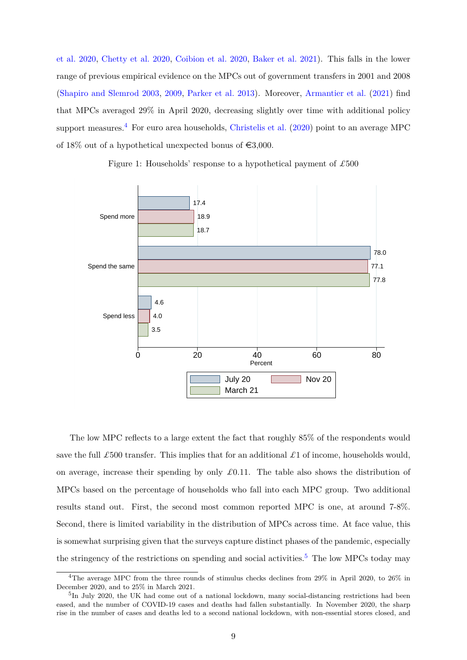[et al. 2020,](#page-47-1) [Chetty et al. 2020,](#page-47-9) [Coibion et al. 2020,](#page-48-1) [Baker et al. 2021\)](#page-47-3). This falls in the lower range of previous empirical evidence on the MPCs out of government transfers in 2001 and 2008 [\(Shapiro and Slemrod 2003,](#page-50-4) [2009,](#page-50-5) [Parker et al. 2013\)](#page-49-8). Moreover, [Armantier et al. \(2021\)](#page-47-2) fnd that MPCs averaged 29% in April 2020, decreasing slightly over time with additional policy support measures.<sup>4</sup> For euro area households, [Christelis et al. \(2020\)](#page-48-0) point to an average MPC of 18% out of a hypothetical unexpected bonus of  $\epsilon$ 3,000.

Figure 1: Households' response to a hypothetical payment of *£*500

<span id="page-10-0"></span>

The low MPC refects to a large extent the fact that roughly 85% of the respondents would save the full  $\pounds$ 500 transfer. This implies that for an additional  $\pounds$ 1 of income, households would, on average, increase their spending by only  $\pounds 0.11$ . The table also shows the distribution of MPCs based on the percentage of households who fall into each MPC group. Two additional results stand out. First, the second most common reported MPC is one, at around 7-8%. Second, there is limited variability in the distribution of MPCs across time. At face value, this is somewhat surprising given that the surveys capture distinct phases of the pandemic, especially the stringency of the restrictions on spending and social activities.<sup>5</sup> The low MPCs today may

<span id="page-10-1"></span><sup>4</sup>The average MPC from the three rounds of stimulus checks declines from 29% in April 2020, to 26% in December 2020, and to 25% in March 2021.

<span id="page-10-2"></span> $5$ In July 2020, the UK had come out of a national lockdown, many social-distancing restrictions had been eased, and the number of COVID-19 cases and deaths had fallen substantially. In November 2020, the sharp rise in the number of cases and deaths led to a second national lockdown, with non-essential stores closed, and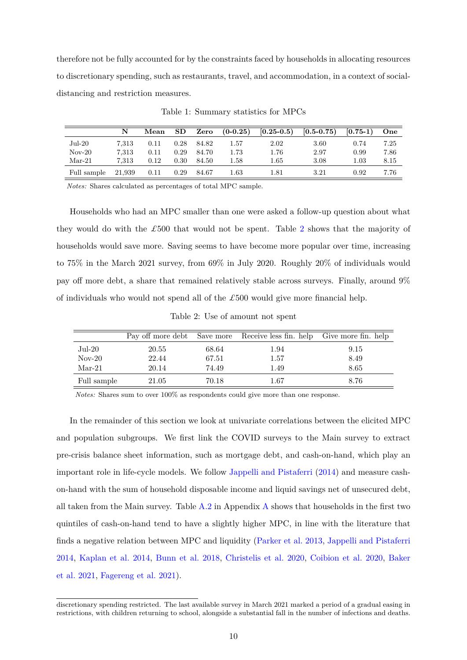therefore not be fully accounted for by the constraints faced by households in allocating resources to discretionary spending, such as restaurants, travel, and accommodation, in a context of socialdistancing and restriction measures.

<span id="page-11-0"></span>

|             | N      | Mean | SD   | Zero  | $(0-0.25)$ | $[0.25 - 0.5)$ | $[0.5 - 0.75)$ | $[0.75-1)$ | One  |
|-------------|--------|------|------|-------|------------|----------------|----------------|------------|------|
| $Jul-20$    | 7.313  | 0.11 | 0.28 | 84.82 | 1.57       | 2.02           | 3.60           | 0.74       | 7.25 |
| $Nov-20$    | 7.313  | 0.11 | 0.29 | 84.70 | 1.73       | 1.76           | 2.97           | 0.99       | 7.86 |
| $Mar-21$    | 7.313  | 0.12 | 0.30 | 84.50 | 1.58       | 1.65           | 3.08           | 1.03       | 8.15 |
| Full sample | 21.939 | 0.11 | 0.29 | 84.67 | 1.63       | 1.81           | 3.21           | 0.92       | 7.76 |

Table 1: Summary statistics for MPCs

*Notes:* Shares calculated as percentages of total MPC sample.

Households who had an MPC smaller than one were asked a follow-up question about what they would do with the *£*500 that would not be spent. Table [2](#page-11-1) shows that the majority of households would save more. Saving seems to have become more popular over time, increasing to 75% in the March 2021 survey, from 69% in July 2020. Roughly 20% of individuals would pay off more debt, a share that remained relatively stable across surveys. Finally, around  $9\%$ of individuals who would not spend all of the *£*500 would give more fnancial help.

Table 2: Use of amount not spent

<span id="page-11-1"></span>

|                  |       |       | Pay off more debt Save more Receive less fin. help Give more fin. help |      |
|------------------|-------|-------|------------------------------------------------------------------------|------|
| $_{\rm{Jul-20}}$ | 20.55 | 68.64 | 1.94                                                                   | 9.15 |
| $Nov-20$         | 22.44 | 67.51 | 1.57                                                                   | 8.49 |
| $Mar-21$         | 20.14 | 74.49 | 1.49                                                                   | 8.65 |
| Full sample      | 21.05 | 70.18 | 1.67                                                                   | 8.76 |

*Notes:* Shares sum to over 100% as respondents could give more than one response.

In the remainder of this section we look at univariate correlations between the elicited MPC and population subgroups. We frst link the COVID surveys to the Main survey to extract pre-crisis balance sheet information, such as mortgage debt, and cash-on-hand, which play an important role in life-cycle models. We follow [Jappelli and Pistaferri \(2014\)](#page-49-0) and measure cashon-hand with the sum of household disposable income and liquid savings net of unsecured debt, all taken from the Main survey. Table  $A.2$  in Appendix  $\overline{A}$  shows that households in the first two quintiles of cash-on-hand tend to have a slightly higher MPC, in line with the literature that fnds a negative relation between MPC and liquidity [\(Parker et al. 2013,](#page-49-8) [Jappelli and Pistaferri](#page-49-0)  [2014,](#page-49-0) [Kaplan et al. 2014,](#page-49-3) [Bunn et al. 2018,](#page-47-5) [Christelis et al. 2020,](#page-48-0) [Coibion et al. 2020,](#page-48-1) [Baker](#page-47-3)  [et al. 2021,](#page-47-3) [Fagereng et al. 2021\)](#page-48-9).

discretionary spending restricted. The last available survey in March 2021 marked a period of a gradual easing in restrictions, with children returning to school, alongside a substantial fall in the number of infections and deaths.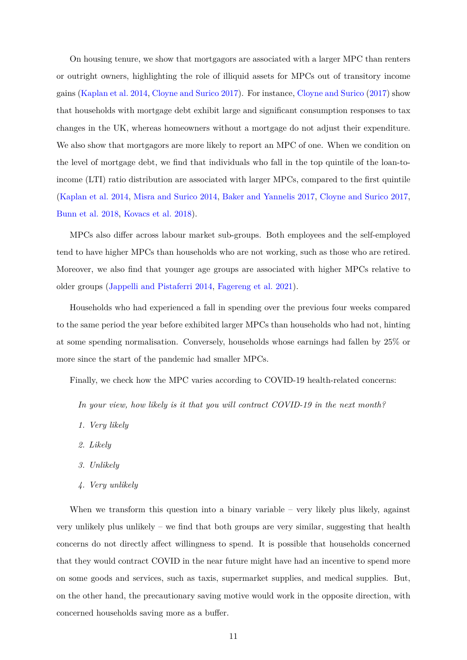On housing tenure, we show that mortgagors are associated with a larger MPC than renters or outright owners, highlighting the role of illiquid assets for MPCs out of transitory income gains [\(Kaplan et al. 2014,](#page-49-3) [Cloyne and Surico 2017\)](#page-48-8). For instance, [Cloyne and Surico \(2017\)](#page-48-8) show that households with mortgage debt exhibit large and signifcant consumption responses to tax changes in the UK, whereas homeowners without a mortgage do not adjust their expenditure. We also show that mortgagors are more likely to report an MPC of one. When we condition on the level of mortgage debt, we fnd that individuals who fall in the top quintile of the loan-toincome (LTI) ratio distribution are associated with larger MPCs, compared to the frst quintile [\(Kaplan et al. 2014,](#page-49-3) [Misra and Surico 2014,](#page-49-9) [Baker and Yannelis 2017,](#page-47-10) [Cloyne and Surico 2017,](#page-48-8) [Bunn et al. 2018,](#page-47-5) [Kovacs et al. 2018\)](#page-49-10).

MPCs also differ across labour market sub-groups. Both employees and the self-employed tend to have higher MPCs than households who are not working, such as those who are retired. Moreover, we also fnd that younger age groups are associated with higher MPCs relative to older groups [\(Jappelli and Pistaferri 2014,](#page-49-0) [Fagereng et al. 2021\)](#page-48-9).

Households who had experienced a fall in spending over the previous four weeks compared to the same period the year before exhibited larger MPCs than households who had not, hinting at some spending normalisation. Conversely, households whose earnings had fallen by 25% or more since the start of the pandemic had smaller MPCs.

Finally, we check how the MPC varies according to COVID-19 health-related concerns:

*In your view, how likely is it that you will contract COVID-19 in the next month?* 

- *1. Very likely*
- *2. Likely*
- *3. Unlikely*
- *4. Very unlikely*

When we transform this question into a binary variable – very likely plus likely, against very unlikely plus unlikely – we fnd that both groups are very similar, suggesting that health concerns do not directly affect willingness to spend. It is possible that households concerned that they would contract COVID in the near future might have had an incentive to spend more on some goods and services, such as taxis, supermarket supplies, and medical supplies. But, on the other hand, the precautionary saving motive would work in the opposite direction, with concerned households saving more as a buffer.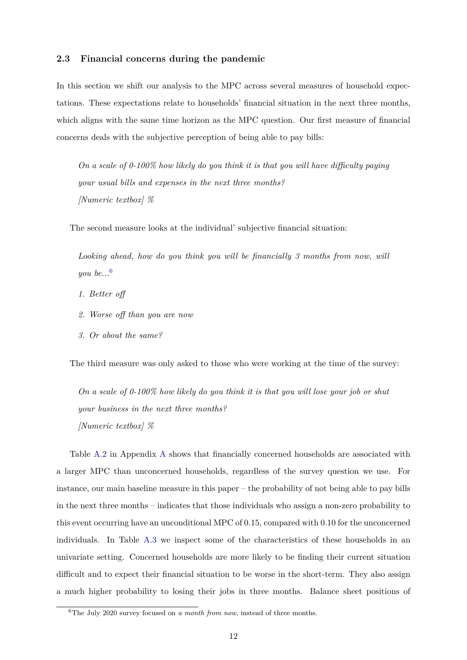#### <span id="page-13-1"></span>**2.3 Financial concerns during the pandemic**

In this section we shift our analysis to the MPC across several measures of household expectations. These expectations relate to households' fnancial situation in the next three months, which aligns with the same time horizon as the MPC question. Our first measure of financial concerns deals with the subjective perception of being able to pay bills:

*On a scale of 0-100% how likely do you think it is that you will have difficulty paying your usual bills and expenses in the next three months? [Numeric textbox] %* 

The second measure looks at the individual' subjective fnancial situation:

Looking ahead, how do you think you will be financially 3 months from now, will *you be...*[6](#page-13-0) 

- 1. Better off
- 2. Worse off than you are now
- *3. Or about the same?*

The third measure was only asked to those who were working at the time of the survey:

*On a scale of 0-100% how likely do you think it is that you will lose your job or shut your business in the next three months? [Numeric textbox] %* 

Table [A.2](#page-41-0) in Appendix [A](#page-38-1) shows that fnancially concerned households are associated with a larger MPC than unconcerned households, regardless of the survey question we use. For instance, our main baseline measure in this paper – the probability of not being able to pay bills in the next three months – indicates that those individuals who assign a non-zero probability to this event occurring have an unconditional MPC of 0.15, compared with 0.10 for the unconcerned individuals. In Table [A.3](#page-42-0) we inspect some of the characteristics of these households in an univariate setting. Concerned households are more likely to be fnding their current situation difficult and to expect their financial situation to be worse in the short-term. They also assign a much higher probability to losing their jobs in three months. Balance sheet positions of

<span id="page-13-0"></span><sup>6</sup>The July 2020 survey focused on *a month from now*, instead of three months.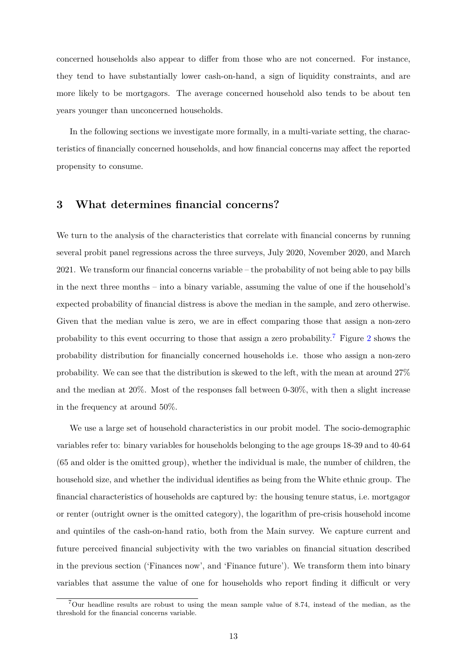concerned households also appear to differ from those who are not concerned. For instance, they tend to have substantially lower cash-on-hand, a sign of liquidity constraints, and are more likely to be mortgagors. The average concerned household also tends to be about ten years younger than unconcerned households.

In the following sections we investigate more formally, in a multi-variate setting, the characteristics of financially concerned households, and how financial concerns may affect the reported propensity to consume.

#### <span id="page-14-0"></span>**3 What determines fnancial concerns?**

We turn to the analysis of the characteristics that correlate with fnancial concerns by running several probit panel regressions across the three surveys, July 2020, November 2020, and March 2021. We transform our fnancial concerns variable – the probability of not being able to pay bills in the next three months – into a binary variable, assuming the value of one if the household's expected probability of fnancial distress is above the median in the sample, and zero otherwise. Given that the median value is zero, we are in effect comparing those that assign a non-zero probability to this event occurring to those that assign a zero probability.[7](#page-14-1) Figure [2](#page-15-0) shows the probability distribution for fnancially concerned households i.e. those who assign a non-zero probability. We can see that the distribution is skewed to the left, with the mean at around 27% and the median at 20%. Most of the responses fall between 0-30%, with then a slight increase in the frequency at around 50%.

We use a large set of household characteristics in our probit model. The socio-demographic variables refer to: binary variables for households belonging to the age groups 18-39 and to 40-64 (65 and older is the omitted group), whether the individual is male, the number of children, the household size, and whether the individual identifes as being from the White ethnic group. The fnancial characteristics of households are captured by: the housing tenure status, i.e. mortgagor or renter (outright owner is the omitted category), the logarithm of pre-crisis household income and quintiles of the cash-on-hand ratio, both from the Main survey. We capture current and future perceived fnancial subjectivity with the two variables on fnancial situation described in the previous section ('Finances now', and 'Finance future'). We transform them into binary variables that assume the value of one for households who report finding it difficult or very

<span id="page-14-1"></span><sup>7</sup>Our headline results are robust to using the mean sample value of 8.74, instead of the median, as the threshold for the fnancial concerns variable.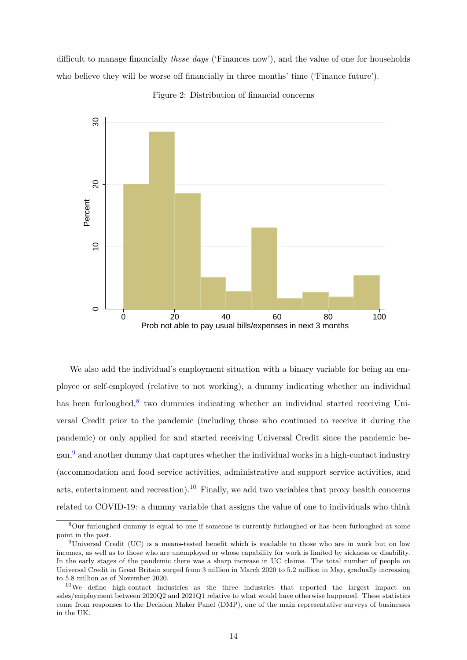difficult to manage financially *these days* ('Finances now'), and the value of one for households who believe they will be worse off financially in three months' time ('Finance future').

<span id="page-15-0"></span>

Figure 2: Distribution of fnancial concerns

We also add the individual's employment situation with a binary variable for being an employee or self-employed (relative to not working), a dummy indicating whether an individual has been furloughed, $8$  two dummies indicating whether an individual started receiving Universal Credit prior to the pandemic (including those who continued to receive it during the pandemic) or only applied for and started receiving Universal Credit since the pandemic began, $9$  and another dummy that captures whether the individual works in a high-contact industry (accommodation and food service activities, administrative and support service activities, and arts, entertainment and recreation).<sup>10</sup> Finally, we add two variables that proxy health concerns related to COVID-19: a dummy variable that assigns the value of one to individuals who think

<span id="page-15-1"></span><sup>8</sup>Our furloughed dummy is equal to one if someone is currently furloughed or has been furloughed at some point in the past.

<span id="page-15-2"></span><sup>9</sup>Universal Credit (UC) is a means-tested beneft which is available to those who are in work but on low incomes, as well as to those who are unemployed or whose capability for work is limited by sickness or disability. In the early stages of the pandemic there was a sharp increase in UC claims. The total number of people on Universal Credit in Great Britain surged from 3 million in March 2020 to 5.2 million in May, gradually increasing to 5.8 million as of November 2020.

<span id="page-15-3"></span> $10$ We define high-contact industries as the three industries that reported the largest impact on sales/employment between 2020Q2 and 2021Q1 relative to what would have otherwise happened. These statistics come from responses to the Decision Maker Panel (DMP), one of the main representative surveys of businesses in the UK.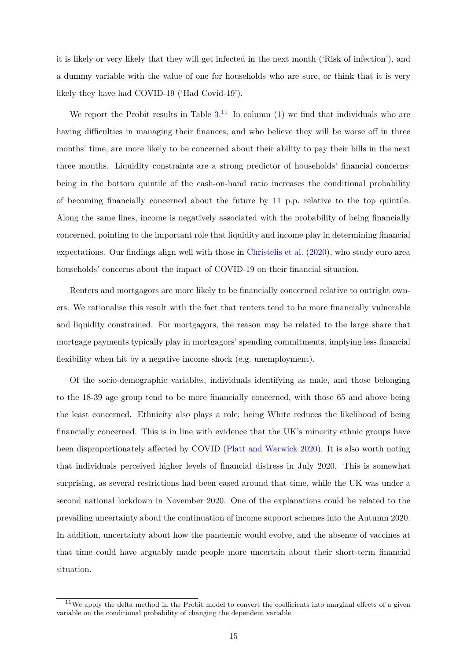it is likely or very likely that they will get infected in the next month ('Risk of infection'), and a dummy variable with the value of one for households who are sure, or think that it is very likely they have had COVID-19 ('Had Covid-19').

We report the Probit results in Table  $3<sup>11</sup>$  In column (1) we find that individuals who are having difficulties in managing their finances, and who believe they will be worse off in three months' time, are more likely to be concerned about their ability to pay their bills in the next three months. Liquidity constraints are a strong predictor of households' fnancial concerns: being in the bottom quintile of the cash-on-hand ratio increases the conditional probability of becoming fnancially concerned about the future by 11 p.p. relative to the top quintile. Along the same lines, income is negatively associated with the probability of being fnancially concerned, pointing to the important role that liquidity and income play in determining fnancial expectations. Our fndings align well with those in [Christelis et al. \(2020\)](#page-48-0), who study euro area households' concerns about the impact of COVID-19 on their fnancial situation.

Renters and mortgagors are more likely to be fnancially concerned relative to outright owners. We rationalise this result with the fact that renters tend to be more fnancially vulnerable and liquidity constrained. For mortgagors, the reason may be related to the large share that mortgage payments typically play in mortgagors' spending commitments, implying less fnancial fexibility when hit by a negative income shock (e.g. unemployment).

Of the socio-demographic variables, individuals identifying as male, and those belonging to the 18-39 age group tend to be more fnancially concerned, with those 65 and above being the least concerned. Ethnicity also plays a role; being White reduces the likelihood of being fnancially concerned. This is in line with evidence that the UK's minority ethnic groups have been disproportionately affected by COVID [\(Platt and Warwick 2020\)](#page-49-11). It is also worth noting that individuals perceived higher levels of fnancial distress in July 2020. This is somewhat surprising, as several restrictions had been eased around that time, while the UK was under a second national lockdown in November 2020. One of the explanations could be related to the prevailing uncertainty about the continuation of income support schemes into the Autumn 2020. In addition, uncertainty about how the pandemic would evolve, and the absence of vaccines at that time could have arguably made people more uncertain about their short-term fnancial situation.

<span id="page-16-0"></span> $11$ We apply the delta method in the Probit model to convert the coefficients into marginal effects of a given variable on the conditional probability of changing the dependent variable.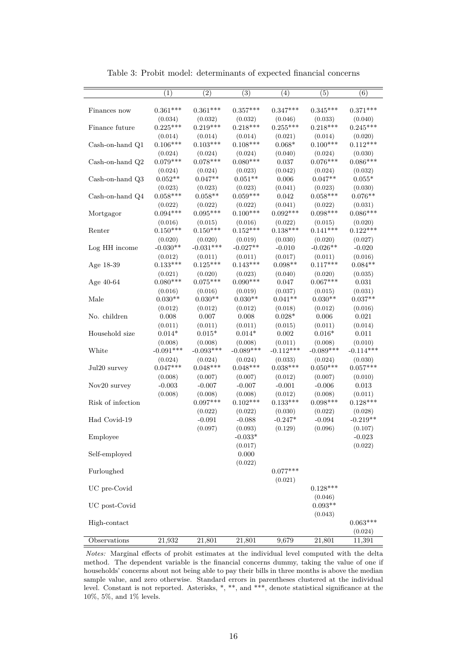<span id="page-17-0"></span>

|                   | (1)                    | $\overline{(2)}$       | (3)                    | (4)                    | (5)                    | (6)                    |
|-------------------|------------------------|------------------------|------------------------|------------------------|------------------------|------------------------|
|                   |                        |                        |                        |                        |                        |                        |
| Finances now      | $0.361***$             | $0.361***$             | $0.357***$             | $0.347***$             | $0.345***$             | $0.371***$             |
|                   | (0.034)                | (0.032)                | (0.032)                | (0.046)                | (0.033)                | (0.040)                |
| Finance future    | $0.225***$             | $0.219***$             | $0.218***$             | $0.255***$             | $0.218***$             | $0.245***$             |
|                   | (0.014)                | (0.014)                | (0.014)                | (0.021)                | (0.014)                | (0.020)                |
| Cash-on-hand Q1   | $0.106***$             | $0.103***$             | $0.108***$             | $0.068*$               | $0.100***$             | $0.112***$             |
|                   | (0.024)                | (0.024)                | (0.024)                | (0.040)                | (0.024)                | (0.030)                |
| Cash-on-hand Q2   | $0.079***$             | $0.078***$             | $0.080***$             | 0.037                  | $0.076***$             | $0.086***$             |
|                   | (0.024)                | (0.024)                | (0.023)                | (0.042)                | (0.024)                | (0.032)                |
| Cash-on-hand Q3   | $0.052**$              | $0.047**$              | $0.051**$              | 0.006                  | $0.047**$              | $0.055*$               |
|                   | (0.023)                | (0.023)                | (0.023)                | (0.041)                | (0.023)                | (0.030)                |
| Cash-on-hand Q4   | $0.058***$             | $0.058**$              | $0.059***$             | 0.042                  | $0.058***$             | $0.076**$              |
|                   | (0.022)                | (0.022)                | (0.022)                | (0.041)                | (0.022)                | (0.031)                |
| Mortgagor         | $0.094***$             | $0.095***$             | $0.100***$             | $0.092***$             | $0.098***$             | $0.086***$             |
|                   | (0.016)                | (0.015)                | (0.016)                | (0.022)                | (0.015)                | (0.020)                |
| Renter            | $0.150***$             | $0.150***$             | $0.152***$             | $0.138***$             | $0.141***$             | $0.122***$             |
|                   | (0.020)                | (0.020)                | (0.019)                | (0.030)                | (0.020)                | (0.027)                |
| Log HH income     | $-0.030**$             | $-0.031***$            | $-0.027**$             | $-0.010$               | $-0.026**$             | $-0.020$               |
|                   | (0.012)                | (0.011)                | (0.011)                | (0.017)                | (0.011)                | (0.016)                |
| Age 18-39         | $0.133***$             | $0.125***$             | $0.143***$             | $0.098**$              | $0.117***$             | $0.084**$              |
|                   | (0.021)                | (0.020)                | (0.023)                | (0.040)                | (0.020)                | (0.035)                |
| Age $40-64$       | $0.080***$             | $0.075***$             | $0.090***$             | 0.047                  | $0.067***$             | 0.031                  |
|                   | (0.016)                | (0.016)                | (0.019)                | (0.037)                | (0.015)                | (0.031)                |
| Male              | $0.030**$              | $0.030**$              | $0.030**$              | $0.041**$              | $0.030**$              | $0.037**$              |
|                   | (0.012)                | (0.012)                | (0.012)                | (0.018)                | (0.012)                | (0.016)                |
| No. children      | 0.008                  | 0.007                  | 0.008                  | $0.028*$               | 0.006                  | 0.021                  |
|                   | (0.011)                | (0.011)                | (0.011)                | (0.015)                | (0.011)                | (0.014)                |
| Household size    | $0.014*$               | $0.015*$               | $0.014*$               | 0.002                  | $0.016*$               | 0.011                  |
| White             | (0.008)<br>$-0.091***$ | (0.008)<br>$-0.093***$ | (0.008)<br>$-0.089***$ | (0.011)<br>$-0.112***$ | (0.008)<br>$-0.089***$ | (0.010)<br>$-0.114***$ |
|                   |                        |                        |                        |                        |                        |                        |
|                   | (0.024)<br>$0.047***$  | (0.024)<br>$0.048***$  | (0.024)<br>$0.048***$  | (0.033)<br>$0.038***$  | (0.024)<br>$0.050***$  | (0.030)<br>$0.057***$  |
| Jul20 survey      |                        |                        |                        |                        |                        |                        |
| Nov20 survey      | (0.008)<br>$-0.003$    | (0.007)<br>$-0.007$    | (0.007)<br>$-0.007$    | (0.012)<br>$-0.001$    | (0.007)<br>$-0.006$    | (0.010)<br>0.013       |
|                   | (0.008)                | (0.008)                | (0.008)                | (0.012)                | (0.008)                | (0.011)                |
| Risk of infection |                        | $0.097***$             | $0.102***$             | $0.133***$             | $0.098***$             | $0.128***$             |
|                   |                        | (0.022)                | (0.022)                | (0.030)                | (0.022)                | (0.028)                |
| Had Covid-19      |                        | $-0.091$               | $-0.088$               | $-0.247*$              | $-0.094$               | $-0.219**$             |
|                   |                        | (0.097)                | (0.093)                | (0.129)                | (0.096)                | (0.107)                |
| Employee          |                        |                        | $-0.033*$              |                        |                        | $-0.023$               |
|                   |                        |                        | (0.017)                |                        |                        | (0.022)                |
| Self-employed     |                        |                        | 0.000                  |                        |                        |                        |
|                   |                        |                        | (0.022)                |                        |                        |                        |
| Furloughed        |                        |                        |                        | $0.077***$             |                        |                        |
|                   |                        |                        |                        | (0.021)                |                        |                        |
| UC pre-Covid      |                        |                        |                        |                        | $0.128***$             |                        |
|                   |                        |                        |                        |                        | (0.046)                |                        |
| UC post-Covid     |                        |                        |                        |                        | $0.093**$              |                        |
|                   |                        |                        |                        |                        | (0.043)                |                        |
| High-contact      |                        |                        |                        |                        |                        | $0.063***$             |
|                   |                        |                        |                        |                        |                        | (0.024)                |
| Observations      | 21,932                 | 21,801                 | 21,801                 | 9,679                  | 21,801                 | 11,391                 |

Table 3: Probit model: determinants of expected fnancial concerns

*Notes:* Marginal effects of probit estimates at the individual level computed with the delta method. The dependent variable is the fnancial concerns dummy, taking the value of one if households' concerns about not being able to pay their bills in three months is above the median sample value, and zero otherwise. Standard errors in parentheses clustered at the individual level. Constant is not reported. Asterisks, \*, \*\*, and \*\*\*, denote statistical signifcance at the 10%, 5%, and 1% levels.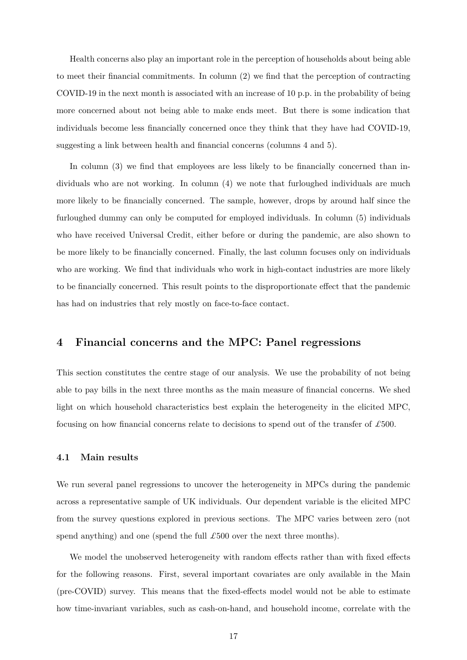Health concerns also play an important role in the perception of households about being able to meet their fnancial commitments. In column (2) we fnd that the perception of contracting COVID-19 in the next month is associated with an increase of 10 p.p. in the probability of being more concerned about not being able to make ends meet. But there is some indication that individuals become less fnancially concerned once they think that they have had COVID-19, suggesting a link between health and fnancial concerns (columns 4 and 5).

In column (3) we find that employees are less likely to be financially concerned than individuals who are not working. In column (4) we note that furloughed individuals are much more likely to be fnancially concerned. The sample, however, drops by around half since the furloughed dummy can only be computed for employed individuals. In column (5) individuals who have received Universal Credit, either before or during the pandemic, are also shown to be more likely to be fnancially concerned. Finally, the last column focuses only on individuals who are working. We fnd that individuals who work in high-contact industries are more likely to be financially concerned. This result points to the disproportionate effect that the pandemic has had on industries that rely mostly on face-to-face contact.

#### <span id="page-18-0"></span>**4 Financial concerns and the MPC: Panel regressions**

This section constitutes the centre stage of our analysis. We use the probability of not being able to pay bills in the next three months as the main measure of fnancial concerns. We shed light on which household characteristics best explain the heterogeneity in the elicited MPC, focusing on how fnancial concerns relate to decisions to spend out of the transfer of *£*500.

#### **4.1 Main results**

We run several panel regressions to uncover the heterogeneity in MPCs during the pandemic across a representative sample of UK individuals. Our dependent variable is the elicited MPC from the survey questions explored in previous sections. The MPC varies between zero (not spend anything) and one (spend the full  $\pounds 500$  over the next three months).

We model the unobserved heterogeneity with random effects rather than with fixed effects for the following reasons. First, several important covariates are only available in the Main (pre-COVID) survey. This means that the fixed-effects model would not be able to estimate how time-invariant variables, such as cash-on-hand, and household income, correlate with the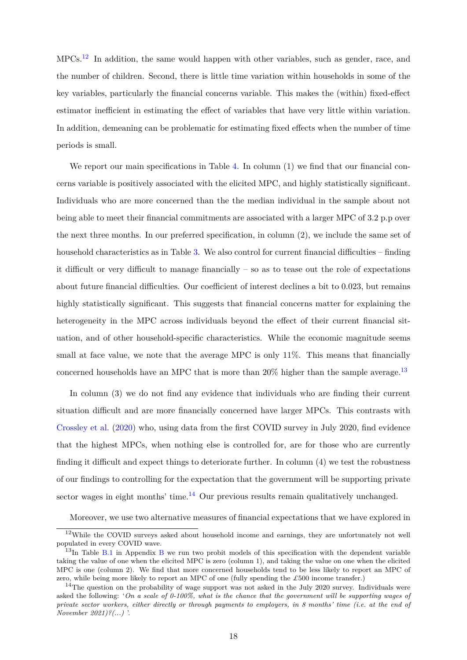MPCs.[12](#page-19-0) In addition, the same would happen with other variables, such as gender, race, and the number of children. Second, there is little time variation within households in some of the key variables, particularly the financial concerns variable. This makes the (within) fixed-effect estimator inefficient in estimating the effect of variables that have very little within variation. In addition, demeaning can be problematic for estimating fixed effects when the number of time periods is small.

We report our main specifications in Table [4.](#page-21-0) In column (1) we find that our financial concerns variable is positively associated with the elicited MPC, and highly statistically signifcant. Individuals who are more concerned than the the median individual in the sample about not being able to meet their fnancial commitments are associated with a larger MPC of 3.2 p.p over the next three months. In our preferred specifcation, in column (2), we include the same set of household characteristics as in Table  $3$ . We also control for current financial difficulties – finding it difficult or very difficult to manage financially  $-$  so as to tease out the role of expectations about future financial difficulties. Our coefficient of interest declines a bit to 0.023, but remains highly statistically significant. This suggests that financial concerns matter for explaining the heterogeneity in the MPC across individuals beyond the effect of their current financial situation, and of other household-specifc characteristics. While the economic magnitude seems small at face value, we note that the average MPC is only 11\%. This means that financially concerned households have an MPC that is more than  $20\%$  higher than the sample average.<sup>13</sup>

In column (3) we do not fnd any evidence that individuals who are fnding their current situation difficult and are more financially concerned have larger MPCs. This contrasts with [Crossley et al. \(2020\)](#page-48-2) who, using data from the frst COVID survey in July 2020, fnd evidence that the highest MPCs, when nothing else is controlled for, are for those who are currently finding it difficult and expect things to deteriorate further. In column  $(4)$  we test the robustness of our fndings to controlling for the expectation that the government will be supporting private sector wages in eight months' time.<sup>14</sup> Our previous results remain qualitatively unchanged.

<span id="page-19-0"></span>Moreover, we use two alternative measures of fnancial expectations that we have explored in

 $12$ While the COVID surveys asked about household income and earnings, they are unfortunately not well populated in every COVID wave.

<span id="page-19-1"></span> $13$ In Table [B.1](#page-43-0) in Appendix [B](#page-43-1) we run two probit models of this specification with the dependent variable taking the value of one when the elicited MPC is zero (column 1), and taking the value on one when the elicited MPC is one (column 2). We fnd that more concerned households tend to be less likely to report an MPC of zero, while being more likely to report an MPC of one (fully spending the *£*500 income transfer.)

<span id="page-19-2"></span> $14$ The question on the probability of wage support was not asked in the July 2020 survey. Individuals were asked the following: 'On a scale of 0-100%, what is the chance that the government will be supporting wages of private sector workers, either directly or through payments to employers, in 8 months' time (i.e. at the end of *November 2021)?(...)* '.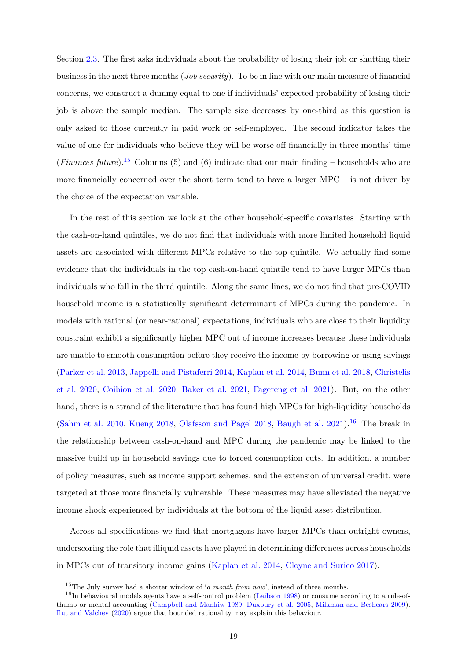Section [2.3.](#page-13-1) The frst asks individuals about the probability of losing their job or shutting their business in the next three months (*Job security*). To be in line with our main measure of fnancial concerns, we construct a dummy equal to one if individuals' expected probability of losing their job is above the sample median. The sample size decreases by one-third as this question is only asked to those currently in paid work or self-employed. The second indicator takes the value of one for individuals who believe they will be worse off financially in three months' time (*Finances future*).<sup>15</sup> Columns (5) and (6) indicate that our main finding – households who are more fnancially concerned over the short term tend to have a larger MPC – is not driven by the choice of the expectation variable.

In the rest of this section we look at the other household-specifc covariates. Starting with the cash-on-hand quintiles, we do not fnd that individuals with more limited household liquid assets are associated with different MPCs relative to the top quintile. We actually find some evidence that the individuals in the top cash-on-hand quintile tend to have larger MPCs than individuals who fall in the third quintile. Along the same lines, we do not fnd that pre-COVID household income is a statistically signifcant determinant of MPCs during the pandemic. In models with rational (or near-rational) expectations, individuals who are close to their liquidity constraint exhibit a signifcantly higher MPC out of income increases because these individuals are unable to smooth consumption before they receive the income by borrowing or using savings [\(Parker et al. 2013,](#page-49-8) [Jappelli and Pistaferri 2014,](#page-49-0) [Kaplan et al. 2014,](#page-49-3) [Bunn et al. 2018,](#page-47-5) [Christelis](#page-48-0)  [et al. 2020,](#page-48-0) [Coibion et al. 2020,](#page-48-1) [Baker et al. 2021,](#page-47-3) [Fagereng et al. 2021\)](#page-48-9). But, on the other hand, there is a strand of the literature that has found high MPCs for high-liquidity households [\(Sahm et al. 2010,](#page-50-1) [Kueng 2018,](#page-49-12) [Olafsson and Pagel 2018,](#page-49-13) [Baugh et al. 2021\)](#page-47-7).<sup>16</sup> The break in the relationship between cash-on-hand and MPC during the pandemic may be linked to the massive build up in household savings due to forced consumption cuts. In addition, a number of policy measures, such as income support schemes, and the extension of universal credit, were targeted at those more fnancially vulnerable. These measures may have alleviated the negative income shock experienced by individuals at the bottom of the liquid asset distribution.

Across all specifcations we fnd that mortgagors have larger MPCs than outright owners, underscoring the role that illiquid assets have played in determining differences across households in MPCs out of transitory income gains [\(Kaplan et al. 2014,](#page-49-3) [Cloyne and Surico 2017\)](#page-48-8).

<span id="page-20-1"></span><span id="page-20-0"></span><sup>15</sup>The July survey had a shorter window of '*a month from now*', instead of three months.

 $16$ In behavioural models agents have a self-control problem [\(Laibson 1998\)](#page-49-6) or consume according to a rule-ofthumb or mental accounting [\(Campbell and Mankiw 1989,](#page-47-11) [Duxbury et al. 2005,](#page-48-10) [Milkman and Beshears 2009\)](#page-49-4). [Ilut and Valchev \(2020\)](#page-48-11) argue that bounded rationality may explain this behaviour.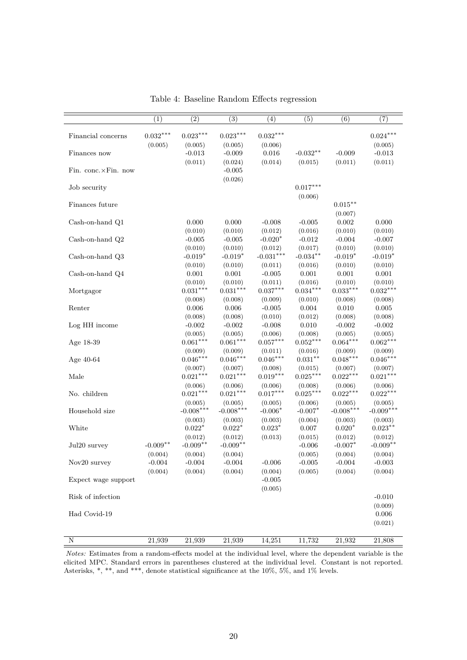<span id="page-21-0"></span>

|                     | (1)                   | (2)                    | (3)                    | (4)                       | (5)                         | (6)                           | (7)                    |
|---------------------|-----------------------|------------------------|------------------------|---------------------------|-----------------------------|-------------------------------|------------------------|
| Financial concerns  | $0.032***$<br>(0.005) | $0.023***$<br>(0.005)  | $0.023***$<br>(0.005)  | $0.032***$<br>(0.006)     |                             |                               | $0.024***$<br>(0.005)  |
| Finances now        |                       | $-0.013$<br>(0.011)    | $-0.009$<br>(0.024)    | 0.016<br>(0.014)          | $-0.032**$<br>(0.015)       | $-0.009$<br>(0.011)           | $-0.013$<br>(0.011)    |
| Fin. conc.×Fin. now |                       |                        | $-0.005$<br>(0.026)    |                           |                             |                               |                        |
| Job security        |                       |                        |                        |                           | $0.017***$<br>(0.006)       |                               |                        |
| Finances future     |                       |                        |                        |                           |                             | $0.015^{\ast\ast}$<br>(0.007) |                        |
| Cash-on-hand Q1     |                       | 0.000<br>(0.010)       | 0.000<br>(0.010)       | $-0.008$<br>(0.012)       | $-0.005$<br>(0.016)         | 0.002<br>(0.010)              | 0.000<br>(0.010)       |
| Cash-on-hand Q2     |                       | $-0.005$<br>(0.010)    | $-0.005$<br>(0.010)    | $-0.020*$<br>(0.012)      | $-0.012$<br>(0.017)         | $-0.004$<br>(0.010)           | $-0.007$<br>(0.010)    |
| Cash-on-hand Q3     |                       | $-0.019*$              | $-0.019*$              | $-0.031***$<br>(0.011)    | $-0.034***$                 | $-0.019*$                     | $-0.019*$              |
| Cash-on-hand Q4     |                       | (0.010)<br>$0.001\,$   | (0.010)<br>$0.001\,$   | $-0.005$                  | (0.016)<br>0.001<br>(0.016) | (0.010)<br>0.001<br>(0.010)   | (0.010)<br>$0.001\,$   |
| Mortgagor           |                       | (0.010)<br>$0.031***$  | (0.010)<br>$0.031***$  | (0.011)<br>$0.037***$     | $0.034***$                  | $0.033***$                    | (0.010)<br>$0.032***$  |
| Renter              |                       | (0.008)<br>0.006       | (0.008)<br>0.006       | (0.009)<br>$-0.005$       | (0.010)<br>0.004            | (0.008)<br>0.010              | (0.008)<br>0.005       |
| Log HH income       |                       | (0.008)<br>$-0.002$    | (0.008)<br>$-0.002$    | (0.010)<br>$-0.008$       | (0.012)<br>0.010            | (0.008)<br>$-0.002$           | (0.008)<br>$-0.002$    |
| Age 18-39           |                       | (0.005)<br>$0.061***$  | (0.005)<br>$0.061***$  | (0.006)<br>$0.057***$     | (0.008)<br>$0.052***$       | (0.005)<br>$0.064***$         | (0.005)<br>$0.062***$  |
| Age $40-64$         |                       | (0.009)<br>$0.046***$  | (0.009)<br>$0.046***$  | (0.011)<br>$0.046***$     | (0.016)<br>$0.031***$       | (0.009)<br>$0.048***$         | (0.009)<br>$0.046***$  |
| Male                |                       | (0.007)<br>$0.021***$  | (0.007)<br>$0.021***$  | (0.008)<br>$0.019***$     | (0.015)<br>$0.025***$       | (0.007)<br>$0.022***$         | (0.007)<br>$0.021***$  |
| No. children        |                       | (0.006)<br>$0.021***$  | (0.006)<br>$0.021***$  | (0.006)<br>$0.017***$     | (0.008)<br>$0.025***$       | (0.006)<br>$0.022***$         | (0.006)<br>$0.022***$  |
| Household size      |                       | (0.005)<br>$-0.008***$ | (0.005)<br>$-0.008***$ | (0.005)<br>$-0.006*$      | (0.006)<br>$-0.007*$        | (0.005)<br>$-0.008***$        | (0.005)<br>$-0.009***$ |
| White               |                       | (0.003)<br>$0.022*$    | (0.003)<br>$0.022*$    | (0.003)<br>$0.023^{\ast}$ | (0.004)<br>0.007            | (0.003)<br>$0.020*$           | (0.003)<br>$0.023***$  |
| Jul20 survey        | $-0.009**$            | (0.012)<br>$-0.009**$  | (0.012)<br>$-0.009**$  | (0.013)                   | (0.015)<br>$-0.006$         | (0.012)<br>$-0.007*$          | (0.012)<br>$-0.009**$  |
| Nov20 survey        | (0.004)<br>$-0.004$   | (0.004)<br>$-0.004$    | (0.004)<br>$-0.004$    | $-0.006$                  | (0.005)<br>$-0.005$         | (0.004)<br>$-0.004$           | (0.004)<br>$-0.003$    |
| Expect wage support | (0.004)               | (0.004)                | (0.004)                | (0.004)<br>$-0.005$       | (0.005)                     | (0.004)                       | (0.004)                |
| Risk of infection   |                       |                        |                        | (0.005)                   |                             |                               | $-0.010$               |
| Had Covid-19        |                       |                        |                        |                           |                             |                               | (0.009)<br>$0.006\,$   |
|                     |                       |                        |                        |                           |                             |                               | (0.021)                |
| Ν                   | 21,939                | 21,939                 | 21,939                 | 14,251                    | 11,732                      | 21,932                        | 21,808                 |

Table 4: Baseline Random Effects regression

*Notes:* Estimates from a random-effects model at the individual level, where the dependent variable is the elicited MPC. Standard errors in parentheses clustered at the individual level. Constant is not reported. Asterisks, \*, \*\*, and \*\*\*, denote statistical signifcance at the 10%, 5%, and 1% levels.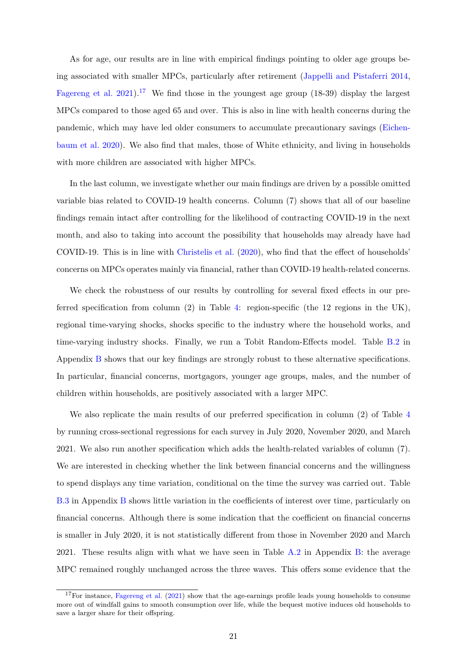As for age, our results are in line with empirical fndings pointing to older age groups being associated with smaller MPCs, particularly after retirement [\(Jappelli and Pistaferri 2014,](#page-49-0) [Fagereng et al. 2021\)](#page-48-9).<sup>17</sup> We find those in the youngest age group  $(18-39)$  display the largest MPCs compared to those aged 65 and over. This is also in line with health concerns during the pandemic, which may have led older consumers to accumulate precautionary savings [\(Eichen](#page-48-12)[baum et al. 2020\)](#page-48-12). We also fnd that males, those of White ethnicity, and living in households with more children are associated with higher MPCs.

In the last column, we investigate whether our main fndings are driven by a possible omitted variable bias related to COVID-19 health concerns. Column (7) shows that all of our baseline fndings remain intact after controlling for the likelihood of contracting COVID-19 in the next month, and also to taking into account the possibility that households may already have had COVID-19. This is in line with Christelis et al.  $(2020)$ , who find that the effect of households' concerns on MPCs operates mainly via fnancial, rather than COVID-19 health-related concerns.

We check the robustness of our results by controlling for several fixed effects in our preferred specifcation from column (2) in Table [4:](#page-21-0) region-specifc (the 12 regions in the UK), regional time-varying shocks, shocks specifc to the industry where the household works, and time-varying industry shocks. Finally, we run a Tobit Random-Effects model. Table [B.2](#page-44-0) in Appendix [B](#page-43-1) shows that our key fndings are strongly robust to these alternative specifcations. In particular, fnancial concerns, mortgagors, younger age groups, males, and the number of children within households, are positively associated with a larger MPC.

We also replicate the main results of our preferred specification in column (2) of Table 4 by running cross-sectional regressions for each survey in July 2020, November 2020, and March 2021. We also run another specifcation which adds the health-related variables of column (7). We are interested in checking whether the link between fnancial concerns and the willingness to spend displays any time variation, conditional on the time the survey was carried out. Table [B.3](#page-45-0) in Appendix [B](#page-43-1) shows little variation in the coefficients of interest over time, particularly on financial concerns. Although there is some indication that the coefficient on financial concerns is smaller in July 2020, it is not statistically different from those in November 2020 and March 2021. These results align with what we have seen in Table  $A.2$  in Appendix [B:](#page-43-1) the average MPC remained roughly unchanged across the three waves. This offers some evidence that the

<span id="page-22-0"></span> $17$  For instance, [Fagereng et al. \(2021\)](#page-48-9) show that the age-earnings profile leads young households to consume more out of windfall gains to smooth consumption over life, while the bequest motive induces old households to save a larger share for their offspring.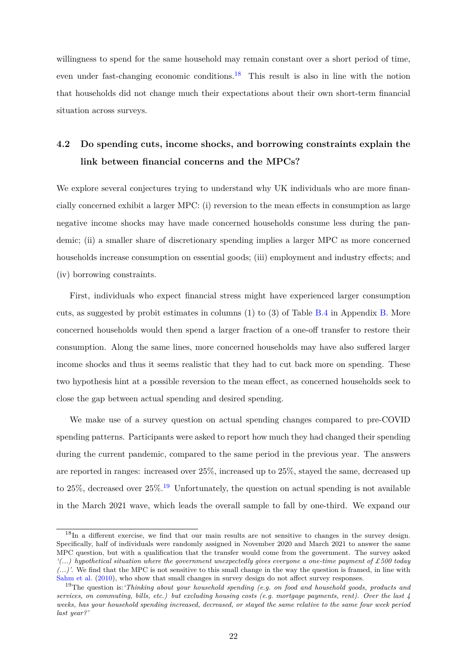willingness to spend for the same household may remain constant over a short period of time. even under fast-changing economic conditions.<sup>18</sup> This result is also in line with the notion that households did not change much their expectations about their own short-term fnancial situation across surveys.

# **4.2 Do spending cuts, income shocks, and borrowing constraints explain the link between fnancial concerns and the MPCs?**

We explore several conjectures trying to understand why UK individuals who are more financially concerned exhibit a larger MPC: (i) reversion to the mean effects in consumption as large negative income shocks may have made concerned households consume less during the pandemic; (ii) a smaller share of discretionary spending implies a larger MPC as more concerned households increase consumption on essential goods; (iii) employment and industry effects; and (iv) borrowing constraints.

First, individuals who expect fnancial stress might have experienced larger consumption cuts, as suggested by probit estimates in columns (1) to (3) of Table [B.4](#page-45-1) in Appendix [B.](#page-43-1) More concerned households would then spend a larger fraction of a one-off transfer to restore their consumption. Along the same lines, more concerned households may have also suffered larger income shocks and thus it seems realistic that they had to cut back more on spending. These two hypothesis hint at a possible reversion to the mean effect, as concerned households seek to close the gap between actual spending and desired spending.

We make use of a survey question on actual spending changes compared to pre-COVID spending patterns. Participants were asked to report how much they had changed their spending during the current pandemic, compared to the same period in the previous year. The answers are reported in ranges: increased over 25%, increased up to 25%, stayed the same, decreased up to 25%, decreased over  $25\%$ .<sup>19</sup> Unfortunately, the question on actual spending is not available in the March 2021 wave, which leads the overall sample to fall by one-third. We expand our

<span id="page-23-0"></span> $18$ In a different exercise, we find that our main results are not sensitive to changes in the survey design. Specifcally, half of individuals were randomly assigned in November 2020 and March 2021 to answer the same MPC question, but with a qualifcation that the transfer would come from the government. The survey asked *'(...) hypothetical situation where the government unexpectedly gives everyone a one-time payment of £500 today (...)'*. We fnd that the MPC is not sensitive to this small change in the way the question is framed, in line with [Sahm et al. \(2010\)](#page-50-1), who show that small changes in survey design do not affect survey responses.

<span id="page-23-1"></span><sup>19</sup>The question is:*'Thinking about your household spending (e.g. on food and household goods, products and* services, on commuting, bills, etc.) but excluding housing costs (e.g. mortgage payments, rent). Over the last  $\varphi$ weeks, has your household spending increased, decreased, or stayed the same relative to the same four week period *last year?'*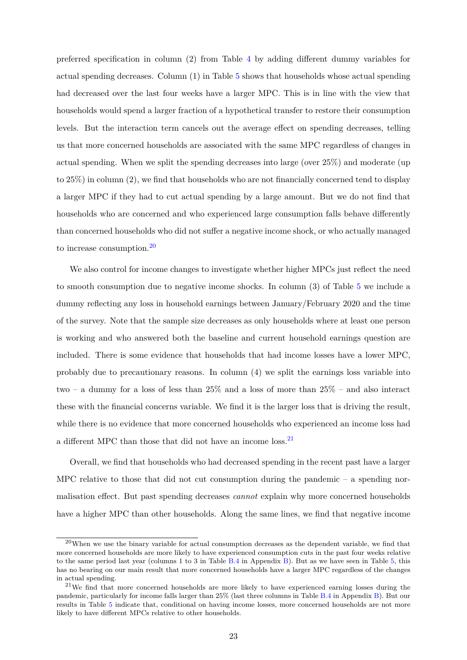preferred specification in column  $(2)$  from Table [4](#page-21-0) by adding different dummy variables for actual spending decreases. Column (1) in Table [5](#page-25-0) shows that households whose actual spending had decreased over the last four weeks have a larger MPC. This is in line with the view that households would spend a larger fraction of a hypothetical transfer to restore their consumption levels. But the interaction term cancels out the average effect on spending decreases, telling us that more concerned households are associated with the same MPC regardless of changes in actual spending. When we split the spending decreases into large (over 25%) and moderate (up to 25%) in column (2), we fnd that households who are not fnancially concerned tend to display a larger MPC if they had to cut actual spending by a large amount. But we do not fnd that households who are concerned and who experienced large consumption falls behave differently than concerned households who did not suffer a negative income shock, or who actually managed to increase consumption.[20](#page-24-0) 

We also control for income changes to investigate whether higher MPCs just refect the need to smooth consumption due to negative income shocks. In column (3) of Table [5](#page-25-0) we include a dummy refecting any loss in household earnings between January/February 2020 and the time of the survey. Note that the sample size decreases as only households where at least one person is working and who answered both the baseline and current household earnings question are included. There is some evidence that households that had income losses have a lower MPC, probably due to precautionary reasons. In column (4) we split the earnings loss variable into two – a dummy for a loss of less than 25% and a loss of more than 25% – and also interact these with the fnancial concerns variable. We fnd it is the larger loss that is driving the result, while there is no evidence that more concerned households who experienced an income loss had a different MPC than those that did not have an income loss.<sup>21</sup>

Overall, we fnd that households who had decreased spending in the recent past have a larger MPC relative to those that did not cut consumption during the pandemic  $-$  a spending normalisation effect. But past spending decreases *cannot* explain why more concerned households have a higher MPC than other households. Along the same lines, we fnd that negative income

<span id="page-24-0"></span> $^{20}$ When we use the binary variable for actual consumption decreases as the dependent variable, we find that more concerned households are more likely to have experienced consumption cuts in the past four weeks relative to the same period last year (columns 1 to 3 in Table [B.4](#page-45-1) in Appendix [B\)](#page-43-1). But as we have seen in Table [5,](#page-25-0) this has no bearing on our main result that more concerned households have a larger MPC regardless of the changes in actual spending.

<span id="page-24-1"></span><sup>&</sup>lt;sup>21</sup>We find that more concerned households are more likely to have experienced earning losses during the pandemic, particularly for income falls larger than 25% (last three columns in Table [B.4](#page-45-1) in Appendix [B\)](#page-43-1). But our results in Table [5](#page-25-0) indicate that, conditional on having income losses, more concerned households are not more likely to have different MPCs relative to other households.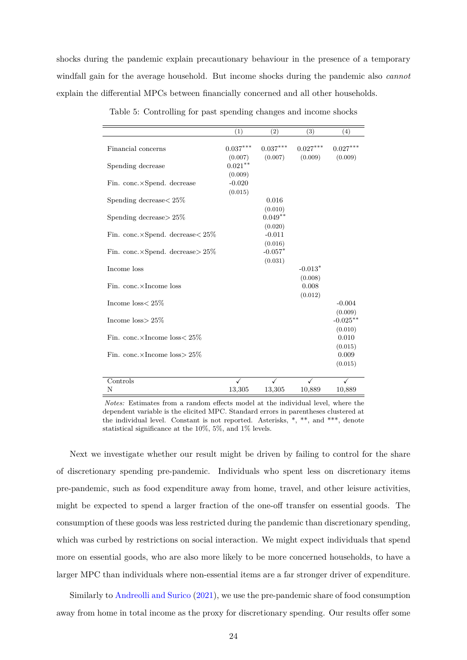<span id="page-25-0"></span>shocks during the pandemic explain precautionary behaviour in the presence of a temporary windfall gain for the average household. But income shocks during the pandemic also *cannot*  explain the differential MPCs between financially concerned and all other households.

|                                             | (1)        | (2)        | (3)        | (4)         |
|---------------------------------------------|------------|------------|------------|-------------|
| Financial concerns                          | $0.037***$ | $0.037***$ | $0.027***$ | $0.027***$  |
|                                             | (0.007)    | (0.007)    | (0.009)    | (0.009)     |
| Spending decrease                           | $0.021***$ |            |            |             |
|                                             | (0.009)    |            |            |             |
|                                             |            |            |            |             |
| Fin. conc.×Spend. decrease                  | $-0.020$   |            |            |             |
|                                             | (0.015)    |            |            |             |
| Spending decrease $< 25\%$                  |            | 0.016      |            |             |
|                                             |            | (0.010)    |            |             |
| Spending decrease $> 25\%$                  |            | $0.049**$  |            |             |
|                                             |            | (0.020)    |            |             |
| Fin. conc. $\times$ Spend. decrease $<$ 25% |            | $-0.011$   |            |             |
|                                             |            | (0.016)    |            |             |
| Fin. conc. $\times$ Spend. decrease $>$ 25% |            | $-0.057*$  |            |             |
|                                             |            | (0.031)    |            |             |
| Income loss                                 |            |            | $-0.013*$  |             |
|                                             |            |            | (0.008)    |             |
| Fin. conc.×Income loss                      |            |            | 0.008      |             |
|                                             |            |            | (0.012)    |             |
| Income $loss < 25\%$                        |            |            |            | $-0.004$    |
|                                             |            |            |            | (0.009)     |
| Income $loss > 25\%$                        |            |            |            | $-0.025***$ |
|                                             |            |            |            | (0.010)     |
| Fin. conc. $\times$ Income loss $<$ 25%     |            |            |            | 0.010       |
|                                             |            |            |            | (0.015)     |
| Fin. conc. $\times$ Income loss $> 25\%$    |            |            |            | 0.009       |
|                                             |            |            |            | (0.015)     |
| Controls                                    | ✓          | ✓          |            | ✓           |
| Ν                                           | 13,305     | 13,305     | 10,889     |             |
|                                             |            |            |            | 10,889      |

Table 5: Controlling for past spending changes and income shocks

*Notes:* Estimates from a random effects model at the individual level, where the dependent variable is the elicited MPC. Standard errors in parentheses clustered at the individual level. Constant is not reported. Asterisks, \*, \*\*, and \*\*\*, denote statistical signifcance at the 10%, 5%, and 1% levels.

Next we investigate whether our result might be driven by failing to control for the share of discretionary spending pre-pandemic. Individuals who spent less on discretionary items pre-pandemic, such as food expenditure away from home, travel, and other leisure activities, might be expected to spend a larger fraction of the one-off transfer on essential goods. The consumption of these goods was less restricted during the pandemic than discretionary spending, which was curbed by restrictions on social interaction. We might expect individuals that spend more on essential goods, who are also more likely to be more concerned households, to have a larger MPC than individuals where non-essential items are a far stronger driver of expenditure.

Similarly to [Andreolli and Surico \(2021\)](#page-47-6), we use the pre-pandemic share of food consumption away from home in total income as the proxy for discretionary spending. Our results offer some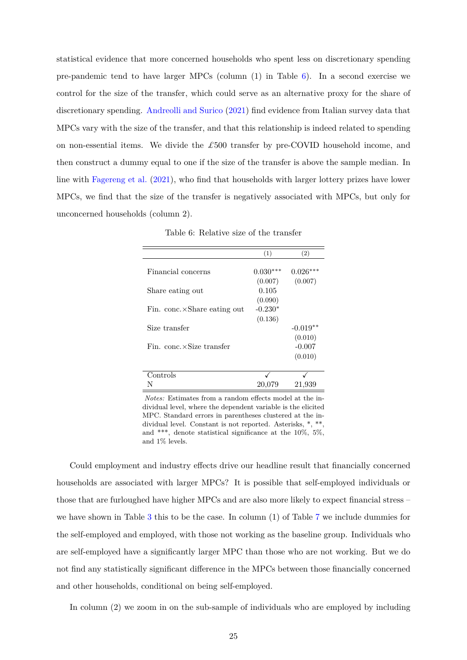statistical evidence that more concerned households who spent less on discretionary spending pre-pandemic tend to have larger MPCs (column (1) in Table [6\)](#page-26-0). In a second exercise we control for the size of the transfer, which could serve as an alternative proxy for the share of discretionary spending. [Andreolli and Surico \(2021\)](#page-47-6) fnd evidence from Italian survey data that MPCs vary with the size of the transfer, and that this relationship is indeed related to spending on non-essential items. We divide the *£*500 transfer by pre-COVID household income, and then construct a dummy equal to one if the size of the transfer is above the sample median. In line with [Fagereng et al. \(2021\)](#page-48-9), who fnd that households with larger lottery prizes have lower MPCs, we fnd that the size of the transfer is negatively associated with MPCs, but only for unconcerned households (column 2).

<span id="page-26-0"></span>

|                             | (1)        | (2)        |
|-----------------------------|------------|------------|
|                             |            |            |
| Financial concerns          | $0.030***$ | 0.026      |
|                             | (0.007)    | (0.007)    |
| Share eating out            | 0.105      |            |
|                             | (0.090)    |            |
| Fin. conc.×Share eating out | $-0.230*$  |            |
|                             | (0.136)    |            |
| Size transfer               |            | $-0.019**$ |
|                             |            | (0.010)    |
| Fin. conc.×Size transfer    |            | $-0.007$   |
|                             |            | (0.010)    |
|                             |            |            |
| Controls                    |            |            |
|                             | 20,079     | 21,939     |

Table 6: Relative size of the transfer

*Notes:* Estimates from a random effects model at the individual level, where the dependent variable is the elicited MPC. Standard errors in parentheses clustered at the individual level. Constant is not reported. Asterisks, \*, \*\*, and \*\*\*, denote statistical signifcance at the 10%, 5%, and 1% levels.

Could employment and industry effects drive our headline result that financially concerned households are associated with larger MPCs? It is possible that self-employed individuals or those that are furloughed have higher MPCs and are also more likely to expect fnancial stress – we have shown in Table [3](#page-17-0) this to be the case. In column (1) of Table [7](#page-28-0) we include dummies for the self-employed and employed, with those not working as the baseline group. Individuals who are self-employed have a signifcantly larger MPC than those who are not working. But we do not find any statistically significant difference in the MPCs between those financially concerned and other households, conditional on being self-employed.

In column (2) we zoom in on the sub-sample of individuals who are employed by including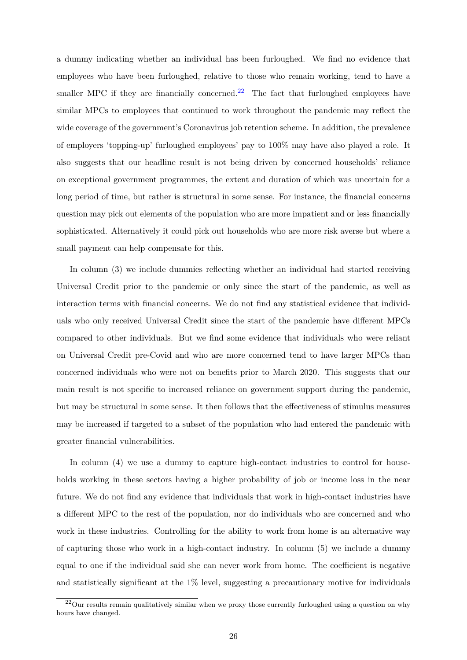a dummy indicating whether an individual has been furloughed. We fnd no evidence that employees who have been furloughed, relative to those who remain working, tend to have a smaller MPC if they are financially concerned.<sup>22</sup> The fact that furloughed employees have similar MPCs to employees that continued to work throughout the pandemic may refect the wide coverage of the government's Coronavirus job retention scheme. In addition, the prevalence of employers 'topping-up' furloughed employees' pay to 100% may have also played a role. It also suggests that our headline result is not being driven by concerned households' reliance on exceptional government programmes, the extent and duration of which was uncertain for a long period of time, but rather is structural in some sense. For instance, the fnancial concerns question may pick out elements of the population who are more impatient and or less fnancially sophisticated. Alternatively it could pick out households who are more risk averse but where a small payment can help compensate for this.

In column (3) we include dummies refecting whether an individual had started receiving Universal Credit prior to the pandemic or only since the start of the pandemic, as well as interaction terms with fnancial concerns. We do not fnd any statistical evidence that individuals who only received Universal Credit since the start of the pandemic have different MPCs compared to other individuals. But we fnd some evidence that individuals who were reliant on Universal Credit pre-Covid and who are more concerned tend to have larger MPCs than concerned individuals who were not on benefts prior to March 2020. This suggests that our main result is not specifc to increased reliance on government support during the pandemic, but may be structural in some sense. It then follows that the effectiveness of stimulus measures may be increased if targeted to a subset of the population who had entered the pandemic with greater fnancial vulnerabilities.

In column (4) we use a dummy to capture high-contact industries to control for households working in these sectors having a higher probability of job or income loss in the near future. We do not fnd any evidence that individuals that work in high-contact industries have a different MPC to the rest of the population, nor do individuals who are concerned and who work in these industries. Controlling for the ability to work from home is an alternative way of capturing those who work in a high-contact industry. In column (5) we include a dummy equal to one if the individual said she can never work from home. The coefficient is negative and statistically significant at the  $1\%$  level, suggesting a precautionary motive for individuals

<span id="page-27-0"></span> $^{22}$ Our results remain qualitatively similar when we proxy those currently furloughed using a question on why hours have changed.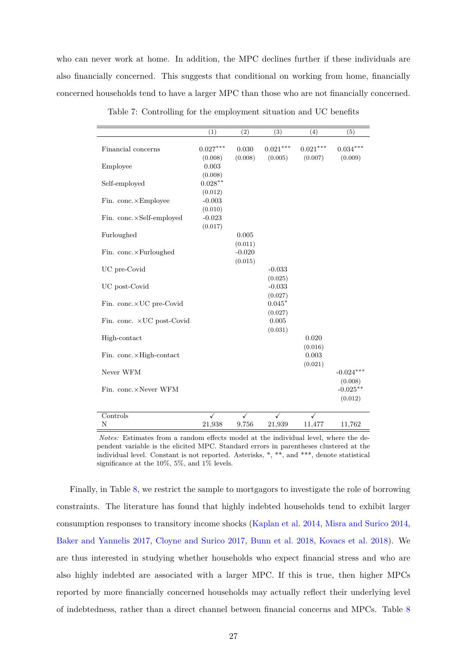who can never work at home. In addition, the MPC declines further if these individuals are also fnancially concerned. This suggests that conditional on working from home, fnancially concerned households tend to have a larger MPC than those who are not fnancially concerned.

<span id="page-28-0"></span>

|                            | (1)                    | (2)                 | (3)                   | (4)                    | (5)                        |
|----------------------------|------------------------|---------------------|-----------------------|------------------------|----------------------------|
| Financial concerns         | $0.027***$<br>(0.008)  | 0.030<br>(0.008)    | $0.021***$<br>(0.005) | $0.021***$<br>(0.007)  | $0.034^{***}\,$<br>(0.009) |
| Employee                   | 0.003<br>(0.008)       |                     |                       |                        |                            |
| Self-employed              | $0.028***$<br>(0.012)  |                     |                       |                        |                            |
| Fin. conc.×Employee        | $-0.003$<br>(0.010)    |                     |                       |                        |                            |
| Fin. conc.×Self-employed   | $-0.023$<br>(0.017)    |                     |                       |                        |                            |
| Furloughed                 |                        | 0.005<br>(0.011)    |                       |                        |                            |
| Fin. conc.×Furloughed      |                        | $-0.020$<br>(0.015) |                       |                        |                            |
| UC pre-Covid               |                        |                     | $-0.033$<br>(0.025)   |                        |                            |
| UC post-Covid              |                        |                     | $-0.033$<br>(0.027)   |                        |                            |
| Fin. conc.×UC pre-Covid    |                        |                     | $0.045*$<br>(0.027)   |                        |                            |
| Fin. conc. × UC post-Covid |                        |                     | 0.005<br>(0.031)      |                        |                            |
| High-contact               |                        |                     |                       | 0.020<br>(0.016)       |                            |
| Fin. conc.×High-contact    |                        |                     |                       | 0.003<br>(0.021)       |                            |
| Never WFM                  |                        |                     |                       |                        | $-0.024***$                |
| Fin. conc.×Never WFM       |                        |                     |                       |                        | (0.008)<br>$-0.025***$     |
|                            |                        |                     |                       |                        | (0.012)                    |
| Controls<br>N              | $\checkmark$<br>21,938 | ✓<br>9,756          | $\cdot$<br>21,939     | $\checkmark$<br>11,477 | 11,762                     |
|                            |                        |                     |                       |                        |                            |

Table 7: Controlling for the employment situation and UC benefts

*Notes:* Estimates from a random effects model at the individual level, where the dependent variable is the elicited MPC. Standard errors in parentheses clustered at the individual level. Constant is not reported. Asterisks, \*, \*\*, and \*\*\*, denote statistical signifcance at the 10%, 5%, and 1% levels.

Finally, in Table [8,](#page-29-0) we restrict the sample to mortgagors to investigate the role of borrowing constraints. The literature has found that highly indebted households tend to exhibit larger consumption responses to transitory income shocks [\(Kaplan et al. 2014,](#page-49-3) [Misra and Surico 2014,](#page-49-9) [Baker and Yannelis 2017,](#page-47-10) [Cloyne and Surico 2017,](#page-48-8) [Bunn et al. 2018,](#page-47-5) [Kovacs et al. 2018\)](#page-49-10). We are thus interested in studying whether households who expect fnancial stress and who are also highly indebted are associated with a larger MPC. If this is true, then higher MPCs reported by more fnancially concerned households may actually refect their underlying level of indebtedness, rather than a direct channel between fnancial concerns and MPCs. Table [8](#page-29-0)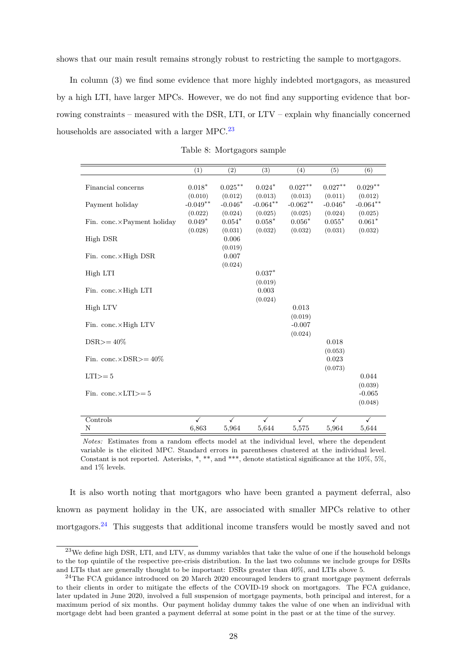shows that our main result remains strongly robust to restricting the sample to mortgagors.

In column (3) we fnd some evidence that more highly indebted mortgagors, as measured by a high LTI, have larger MPCs. However, we do not fnd any supporting evidence that borrowing constraints – measured with the DSR, LTI, or LTV – explain why fnancially concerned households are associated with a larger MPC.<sup>23</sup>

<span id="page-29-0"></span>

|                                    | (1)                            | (2)                            | (3)                            | (4)                            | (5)                            | (6)                            |
|------------------------------------|--------------------------------|--------------------------------|--------------------------------|--------------------------------|--------------------------------|--------------------------------|
| Financial concerns                 | $0.018*$<br>(0.010)            | $0.025***$<br>(0.012)          | $0.024*$<br>(0.013)            | $0.027***$<br>(0.013)          | $0.027**$<br>(0.011)           | $0.029**$<br>(0.012)           |
| Payment holiday                    | $-0.049**$                     | $-0.046*$                      | $-0.064**$                     | $-0.062**$                     | $-0.046*$                      | $-0.064**$                     |
| Fin. conc.×Payment holiday         | (0.022)<br>$0.049*$<br>(0.028) | (0.024)<br>$0.054*$<br>(0.031) | (0.025)<br>$0.058*$<br>(0.032) | (0.025)<br>$0.056*$<br>(0.032) | (0.024)<br>$0.055*$<br>(0.031) | (0.025)<br>$0.061*$<br>(0.032) |
| High DSR                           |                                | 0.006<br>(0.019)               |                                |                                |                                |                                |
| Fin. conc. $\times$ High DSR       |                                | $0.007\,$<br>(0.024)           |                                |                                |                                |                                |
| High LTI                           |                                |                                | $0.037*$<br>(0.019)            |                                |                                |                                |
| Fin. conc.×High LTI                |                                |                                | 0.003                          |                                |                                |                                |
| High LTV                           |                                |                                | (0.024)                        | 0.013                          |                                |                                |
| Fin. conc.×High LTV                |                                |                                |                                | (0.019)<br>$-0.007$            |                                |                                |
| $DSR \geq 40\%$                    |                                |                                |                                | (0.024)                        | 0.018                          |                                |
| Fin. conc. $\times$ DSR $> = 40\%$ |                                |                                |                                |                                | (0.053)<br>0.023               |                                |
| $LTI>=5$                           |                                |                                |                                |                                | (0.073)                        | 0.044                          |
| Fin. conc. $\times$ LTI $> = 5$    |                                |                                |                                |                                |                                | (0.039)<br>$-0.065$            |
|                                    |                                |                                |                                |                                |                                | (0.048)                        |
| Controls<br>N                      | $\checkmark$<br>6,863          | $\checkmark$<br>5,964          | $\checkmark$<br>5,644          | ✓<br>5,575                     | ✓<br>5,964                     | $\checkmark$<br>5,644          |

Table 8: Mortgagors sample

*Notes:* Estimates from a random effects model at the individual level, where the dependent variable is the elicited MPC. Standard errors in parentheses clustered at the individual level. Constant is not reported. Asterisks, \*, \*\*, and \*\*\*, denote statistical significance at the 10%, 5%, and 1% levels.

It is also worth noting that mortgagors who have been granted a payment deferral, also known as payment holiday in the UK, are associated with smaller MPCs relative to other mortgagors.<sup>24</sup> This suggests that additional income transfers would be mostly saved and not

<span id="page-29-1"></span><sup>&</sup>lt;sup>23</sup>We define high DSR, LTI, and LTV, as dummy variables that take the value of one if the household belongs to the top quintile of the respective pre-crisis distribution. In the last two columns we include groups for DSRs and LTIs that are generally thought to be important: DSRs greater than 40%, and LTIs above 5.

<span id="page-29-2"></span><sup>&</sup>lt;sup>24</sup>The FCA guidance introduced on 20 March 2020 encouraged lenders to grant mortgage payment deferrals to their clients in order to mitigate the effects of the COVID-19 shock on mortgagors. The FCA guidance, later updated in June 2020, involved a full suspension of mortgage payments, both principal and interest, for a maximum period of six months. Our payment holiday dummy takes the value of one when an individual with mortgage debt had been granted a payment deferral at some point in the past or at the time of the survey.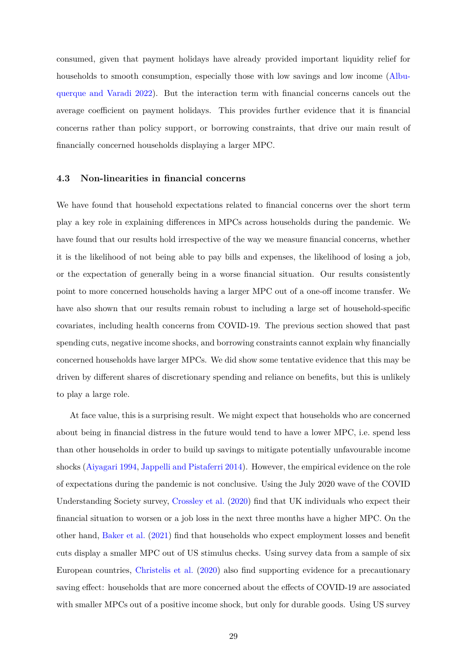consumed, given that payment holidays have already provided important liquidity relief for households to smooth consumption, especially those with low savings and low income [\(Albu](#page-47-12)[querque and Varadi 2022\)](#page-47-12). But the interaction term with fnancial concerns cancels out the average coefficient on payment holidays. This provides further evidence that it is financial concerns rather than policy support, or borrowing constraints, that drive our main result of fnancially concerned households displaying a larger MPC.

#### **4.3 Non-linearities in fnancial concerns**

We have found that household expectations related to fnancial concerns over the short term play a key role in explaining di˙erences in MPCs across households during the pandemic. We have found that our results hold irrespective of the way we measure fnancial concerns, whether it is the likelihood of not being able to pay bills and expenses, the likelihood of losing a job, or the expectation of generally being in a worse fnancial situation. Our results consistently point to more concerned households having a larger MPC out of a one-off income transfer. We have also shown that our results remain robust to including a large set of household-specifc covariates, including health concerns from COVID-19. The previous section showed that past spending cuts, negative income shocks, and borrowing constraints cannot explain why fnancially concerned households have larger MPCs. We did show some tentative evidence that this may be driven by different shares of discretionary spending and reliance on benefits, but this is unlikely to play a large role.

At face value, this is a surprising result. We might expect that households who are concerned about being in fnancial distress in the future would tend to have a lower MPC, i.e. spend less than other households in order to build up savings to mitigate potentially unfavourable income shocks [\(Aiyagari 1994,](#page-47-4) [Jappelli and Pistaferri 2014\)](#page-49-0). However, the empirical evidence on the role of expectations during the pandemic is not conclusive. Using the July 2020 wave of the COVID Understanding Society survey, [Crossley et al. \(2020\)](#page-48-2) fnd that UK individuals who expect their fnancial situation to worsen or a job loss in the next three months have a higher MPC. On the other hand, [Baker et al. \(2021\)](#page-47-3) fnd that households who expect employment losses and beneft cuts display a smaller MPC out of US stimulus checks. Using survey data from a sample of six European countries, [Christelis et al. \(2020\)](#page-48-0) also fnd supporting evidence for a precautionary saving effect: households that are more concerned about the effects of COVID-19 are associated with smaller MPCs out of a positive income shock, but only for durable goods. Using US survey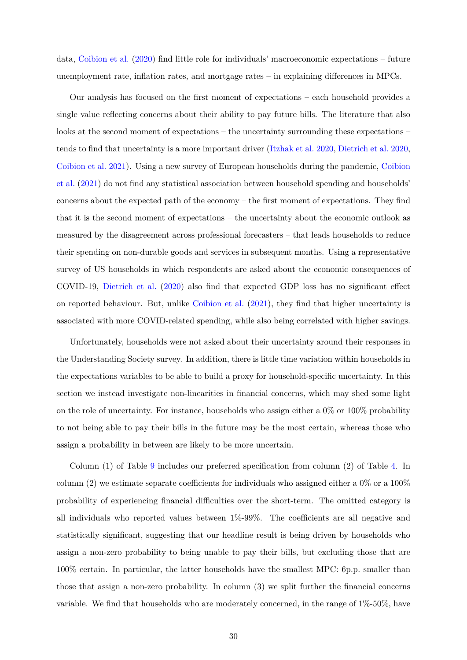data, [Coibion et al. \(2020\)](#page-48-1) fnd little role for individuals' macroeconomic expectations – future unemployment rate, inflation rates, and mortgage rates  $-$  in explaining differences in MPCs.

Our analysis has focused on the frst moment of expectations – each household provides a single value refecting concerns about their ability to pay future bills. The literature that also looks at the second moment of expectations – the uncertainty surrounding these expectations – tends to fnd that uncertainty is a more important driver [\(Itzhak et al. 2020,](#page-49-14) [Dietrich et al. 2020,](#page-48-13) [Coibion et al. 2021\)](#page-48-7). Using a new survey of European households during the pandemic, [Coibion](#page-48-7)  [et al. \(2021\)](#page-48-7) do not fnd any statistical association between household spending and households' concerns about the expected path of the economy – the frst moment of expectations. They fnd that it is the second moment of expectations – the uncertainty about the economic outlook as measured by the disagreement across professional forecasters – that leads households to reduce their spending on non-durable goods and services in subsequent months. Using a representative survey of US households in which respondents are asked about the economic consequences of COVID-19, Dietrich et al.  $(2020)$  also find that expected GDP loss has no significant effect on reported behaviour. But, unlike [Coibion et al. \(2021\)](#page-48-7), they fnd that higher uncertainty is associated with more COVID-related spending, while also being correlated with higher savings.

Unfortunately, households were not asked about their uncertainty around their responses in the Understanding Society survey. In addition, there is little time variation within households in the expectations variables to be able to build a proxy for household-specifc uncertainty. In this section we instead investigate non-linearities in fnancial concerns, which may shed some light on the role of uncertainty. For instance, households who assign either a 0% or 100% probability to not being able to pay their bills in the future may be the most certain, whereas those who assign a probability in between are likely to be more uncertain.

Column (1) of Table [9](#page-32-0) includes our preferred specifcation from column (2) of Table [4.](#page-21-0) In column (2) we estimate separate coefficients for individuals who assigned either a  $0\%$  or a  $100\%$ probability of experiencing financial difficulties over the short-term. The omitted category is all individuals who reported values between  $1\%$ -99%. The coefficients are all negative and statistically signifcant, suggesting that our headline result is being driven by households who assign a non-zero probability to being unable to pay their bills, but excluding those that are 100% certain. In particular, the latter households have the smallest MPC: 6p.p. smaller than those that assign a non-zero probability. In column (3) we split further the fnancial concerns variable. We fnd that households who are moderately concerned, in the range of 1%-50%, have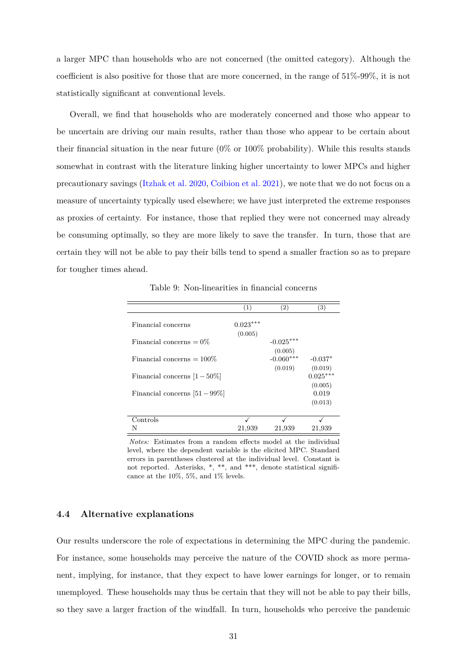a larger MPC than households who are not concerned (the omitted category). Although the coefficient is also positive for those that are more concerned, in the range of  $51\%$ -99%, it is not statistically signifcant at conventional levels.

Overall, we fnd that households who are moderately concerned and those who appear to be uncertain are driving our main results, rather than those who appear to be certain about their fnancial situation in the near future (0% or 100% probability). While this results stands somewhat in contrast with the literature linking higher uncertainty to lower MPCs and higher precautionary savings [\(Itzhak et al. 2020,](#page-49-14) [Coibion et al. 2021\)](#page-48-7), we note that we do not focus on a measure of uncertainty typically used elsewhere; we have just interpreted the extreme responses as proxies of certainty. For instance, those that replied they were not concerned may already be consuming optimally, so they are more likely to save the transfer. In turn, those that are certain they will not be able to pay their bills tend to spend a smaller fraction so as to prepare for tougher times ahead.

Table 9: Non-linearities in fnancial concerns

<span id="page-32-0"></span>

|                                  | (1)                   | (2)                               | $\left( 3\right)$           |
|----------------------------------|-----------------------|-----------------------------------|-----------------------------|
| Financial concerns               | $0.023***$<br>(0.005) |                                   |                             |
| Financial concerns $= 0\%$       |                       | $-0.025***$                       |                             |
| Financial concerns $=100\%$      |                       | (0.005)<br>$-0.060***$<br>(0.019) | $-0.037*$<br>(0.019)        |
| Financial concerns $[1-50\%]$    |                       |                                   | $0.025***$                  |
| Financial concerns $[51 - 99\%]$ |                       |                                   | (0.005)<br>0.019<br>(0.013) |
| Controls                         |                       |                                   |                             |
| N                                | 21,939                | 21,939                            | 21,939                      |

*Notes:* Estimates from a random effects model at the individual level, where the dependent variable is the elicited MPC. Standard errors in parentheses clustered at the individual level. Constant is not reported. Asterisks, \*, \*\*, and \*\*\*, denote statistical significance at the 10%, 5%, and 1% levels.

#### **4.4 Alternative explanations**

Our results underscore the role of expectations in determining the MPC during the pandemic. For instance, some households may perceive the nature of the COVID shock as more permanent, implying, for instance, that they expect to have lower earnings for longer, or to remain unemployed. These households may thus be certain that they will not be able to pay their bills, so they save a larger fraction of the windfall. In turn, households who perceive the pandemic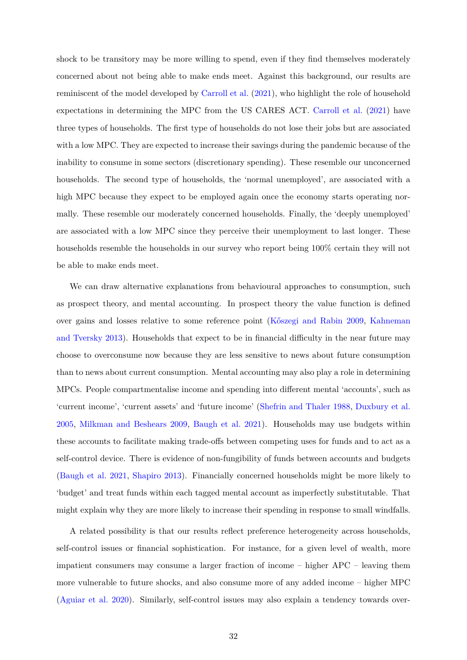shock to be transitory may be more willing to spend, even if they fnd themselves moderately concerned about not being able to make ends meet. Against this background, our results are reminiscent of the model developed by [Carroll et al. \(2021\)](#page-47-13), who highlight the role of household expectations in determining the MPC from the US CARES ACT. [Carroll et al. \(2021\)](#page-47-13) have three types of households. The frst type of households do not lose their jobs but are associated with a low MPC. They are expected to increase their savings during the pandemic because of the inability to consume in some sectors (discretionary spending). These resemble our unconcerned households. The second type of households, the 'normal unemployed', are associated with a high MPC because they expect to be employed again once the economy starts operating normally. These resemble our moderately concerned households. Finally, the 'deeply unemployed' are associated with a low MPC since they perceive their unemployment to last longer. These households resemble the households in our survey who report being 100% certain they will not be able to make ends meet.

We can draw alternative explanations from behavioural approaches to consumption, such as prospect theory, and mental accounting. In prospect theory the value function is defned over gains and losses relative to some reference point [\(K®szegi and Rabin 2009,](#page-49-15) [Kahneman](#page-49-5)  [and Tversky 2013\)](#page-49-5). Households that expect to be in financial difficulty in the near future may choose to overconsume now because they are less sensitive to news about future consumption than to news about current consumption. Mental accounting may also play a role in determining MPCs. People compartmentalise income and spending into different mental 'accounts', such as 'current income', 'current assets' and 'future income' [\(Shefrin and Thaler 1988,](#page-50-2) [Duxbury et al.](#page-48-10)  [2005,](#page-48-10) [Milkman and Beshears 2009,](#page-49-4) [Baugh et al. 2021\)](#page-47-7). Households may use budgets within these accounts to facilitate making trade-offs between competing uses for funds and to act as a self-control device. There is evidence of non-fungibility of funds between accounts and budgets [\(Baugh et al. 2021,](#page-47-7) [Shapiro 2013\)](#page-50-6). Financially concerned households might be more likely to 'budget' and treat funds within each tagged mental account as imperfectly substitutable. That might explain why they are more likely to increase their spending in response to small windfalls.

A related possibility is that our results refect preference heterogeneity across households, self-control issues or fnancial sophistication. For instance, for a given level of wealth, more impatient consumers may consume a larger fraction of income – higher APC – leaving them more vulnerable to future shocks, and also consume more of any added income – higher MPC [\(Aguiar et al. 2020\)](#page-47-8). Similarly, self-control issues may also explain a tendency towards over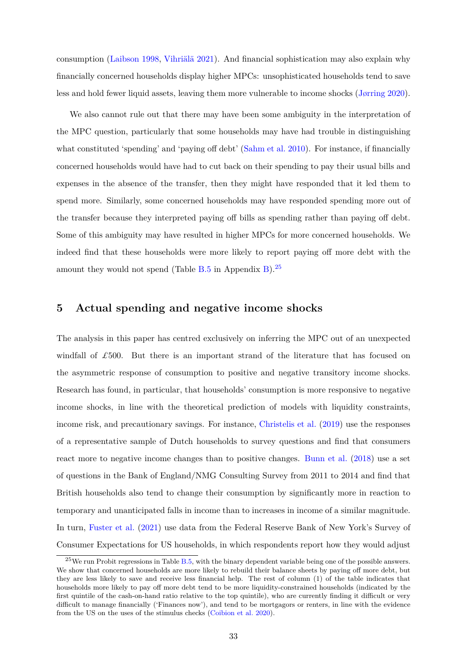consumption [\(Laibson 1998,](#page-49-6) [Vihriälä 2021\)](#page-50-3). And fnancial sophistication may also explain why fnancially concerned households display higher MPCs: unsophisticated households tend to save less and hold fewer liquid assets, leaving them more vulnerable to income shocks [\(Jørring 2020\)](#page-49-7).

We also cannot rule out that there may have been some ambiguity in the interpretation of the MPC question, particularly that some households may have had trouble in distinguishing what constituted 'spending' and 'paying off debt' [\(Sahm et al. 2010\)](#page-50-1). For instance, if financially concerned households would have had to cut back on their spending to pay their usual bills and expenses in the absence of the transfer, then they might have responded that it led them to spend more. Similarly, some concerned households may have responded spending more out of the transfer because they interpreted paying off bills as spending rather than paying off debt. Some of this ambiguity may have resulted in higher MPCs for more concerned households. We indeed find that these households were more likely to report paying off more debt with the amount they would not spend (Table  $B.5$  in Appendix [B\)](#page-43-1).<sup>25</sup>

#### <span id="page-34-0"></span>**5 Actual spending and negative income shocks**

The analysis in this paper has centred exclusively on inferring the MPC out of an unexpected windfall of £500. But there is an important strand of the literature that has focused on the asymmetric response of consumption to positive and negative transitory income shocks. Research has found, in particular, that households' consumption is more responsive to negative income shocks, in line with the theoretical prediction of models with liquidity constraints, income risk, and precautionary savings. For instance, [Christelis et al. \(2019\)](#page-48-6) use the responses of a representative sample of Dutch households to survey questions and fnd that consumers react more to negative income changes than to positive changes. [Bunn et al. \(2018\)](#page-47-5) use a set of questions in the Bank of England/NMG Consulting Survey from 2011 to 2014 and fnd that British households also tend to change their consumption by signifcantly more in reaction to temporary and unanticipated falls in income than to increases in income of a similar magnitude. In turn, [Fuster et al. \(2021\)](#page-48-5) use data from the Federal Reserve Bank of New York's Survey of Consumer Expectations for US households, in which respondents report how they would adjust

<span id="page-34-1"></span> $^{25}$ We run Probit regressions in Table [B.5,](#page-46-0) with the binary dependent variable being one of the possible answers. We show that concerned households are more likely to rebuild their balance sheets by paying off more debt, but they are less likely to save and receive less fnancial help. The rest of column (1) of the table indicates that households more likely to pay off more debt tend to be more liquidity-constrained households (indicated by the first quintile of the cash-on-hand ratio relative to the top quintile), who are currently finding it difficult or very difficult to manage financially ('Finances now'), and tend to be mortgagors or renters, in line with the evidence from the US on the uses of the stimulus checks [\(Coibion et al. 2020\)](#page-48-1).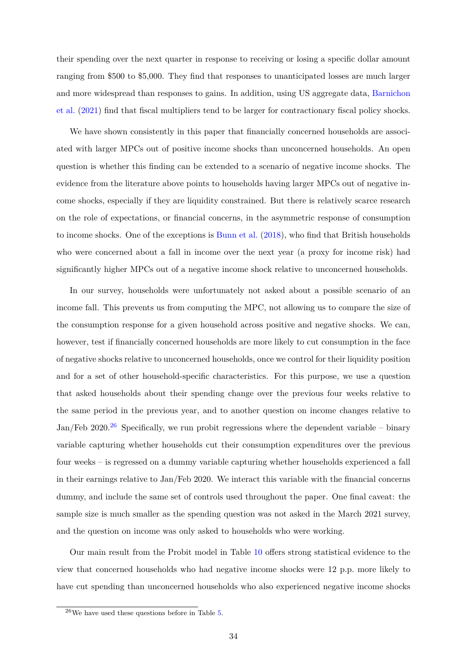their spending over the next quarter in response to receiving or losing a specifc dollar amount ranging from \$500 to \$5,000. They fnd that responses to unanticipated losses are much larger and more widespread than responses to gains. In addition, using US aggregate data, [Barnichon](#page-47-14)  [et al. \(2021\)](#page-47-14) fnd that fscal multipliers tend to be larger for contractionary fscal policy shocks.

We have shown consistently in this paper that fnancially concerned households are associated with larger MPCs out of positive income shocks than unconcerned households. An open question is whether this fnding can be extended to a scenario of negative income shocks. The evidence from the literature above points to households having larger MPCs out of negative income shocks, especially if they are liquidity constrained. But there is relatively scarce research on the role of expectations, or fnancial concerns, in the asymmetric response of consumption to income shocks. One of the exceptions is [Bunn et al. \(2018\)](#page-47-5), who fnd that British households who were concerned about a fall in income over the next year (a proxy for income risk) had signifcantly higher MPCs out of a negative income shock relative to unconcerned households.

In our survey, households were unfortunately not asked about a possible scenario of an income fall. This prevents us from computing the MPC, not allowing us to compare the size of the consumption response for a given household across positive and negative shocks. We can, however, test if fnancially concerned households are more likely to cut consumption in the face of negative shocks relative to unconcerned households, once we control for their liquidity position and for a set of other household-specifc characteristics. For this purpose, we use a question that asked households about their spending change over the previous four weeks relative to the same period in the previous year, and to another question on income changes relative to Jan/Feb 2020.<sup>26</sup> Specifically, we run probit regressions where the dependent variable – binary variable capturing whether households cut their consumption expenditures over the previous four weeks – is regressed on a dummy variable capturing whether households experienced a fall in their earnings relative to Jan/Feb 2020. We interact this variable with the fnancial concerns dummy, and include the same set of controls used throughout the paper. One fnal caveat: the sample size is much smaller as the spending question was not asked in the March 2021 survey, and the question on income was only asked to households who were working.

Our main result from the Probit model in Table [10](#page-36-0) offers strong statistical evidence to the view that concerned households who had negative income shocks were 12 p.p. more likely to have cut spending than unconcerned households who also experienced negative income shocks

<span id="page-35-0"></span> $^{26}$ We have used these questions before in Table [5.](#page-25-0)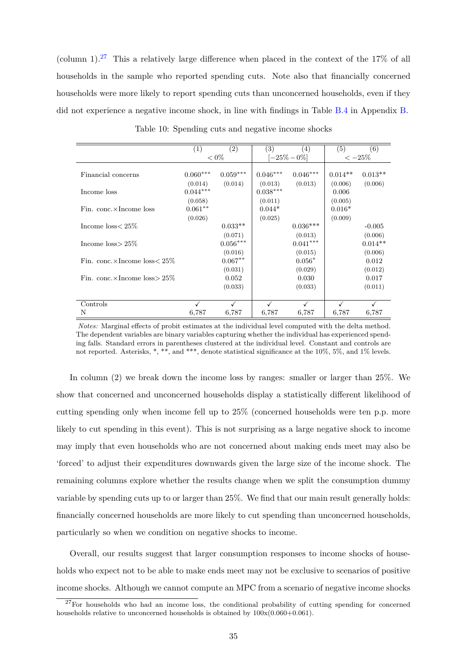(column 1).<sup>27</sup> This a relatively large difference when placed in the context of the 17% of all households in the sample who reported spending cuts. Note also that fnancially concerned households were more likely to report spending cuts than unconcerned households, even if they did not experience a negative income shock, in line with fndings in Table [B.4](#page-45-1) in Appendix [B.](#page-43-1)

<span id="page-36-0"></span>

|                                          | (1)          | $\left( 2\right)$ | (3)             | (4)        | (5)       | (6)       |
|------------------------------------------|--------------|-------------------|-----------------|------------|-----------|-----------|
|                                          |              | $< 0\%$           | $-25\% - 0\%$   |            | $<-25%$   |           |
|                                          |              |                   |                 |            |           |           |
| Financial concerns                       | $0.060***$   | $0.059***$        | $0.046***$      | $0.046***$ | $0.014**$ | $0.013**$ |
|                                          | (0.014)      | (0.014)           | (0.013)         | (0.013)    | (0.006)   | (0.006)   |
| Income loss                              | $0.044***$   |                   | $0.038^{***}\,$ |            | 0.006     |           |
|                                          | (0.058)      |                   | (0.011)         |            | (0.005)   |           |
| Fin. conc. $\times$ Income loss          | $0.061***$   |                   | $0.044*$        |            | $0.016*$  |           |
|                                          | (0.026)      |                   | (0.025)         |            | (0.009)   |           |
| Income $loss < 25\%$                     |              | $0.033**$         |                 | $0.036***$ |           | $-0.005$  |
|                                          |              | (0.071)           |                 | (0.013)    |           | (0.006)   |
| Income $loss > 25\%$                     |              | $0.056^{***}\,$   |                 | $0.041***$ |           | $0.014**$ |
|                                          |              | (0.016)           |                 | (0.015)    |           | (0.006)   |
| Fin. conc. $\times$ Income loss $< 25\%$ |              | $0.067***$        |                 | $0.056*$   |           | 0.012     |
|                                          |              | (0.031)           |                 | (0.029)    |           | (0.012)   |
| Fin. conc. $\times$ Income loss $> 25\%$ |              | 0.052             |                 | 0.030      |           | 0.017     |
|                                          |              | (0.033)           |                 | (0.033)    |           | (0.011)   |
|                                          |              |                   |                 |            |           |           |
| Controls                                 | $\checkmark$ |                   |                 |            |           |           |
| N                                        | 6,787        | 6,787             | 6,787           | 6,787      | 6,787     | 6,787     |

Table 10: Spending cuts and negative income shocks

*Notes:* Marginal effects of probit estimates at the individual level computed with the delta method. The dependent variables are binary variables capturing whether the individual has experienced spending falls. Standard errors in parentheses clustered at the individual level. Constant and controls are not reported. Asterisks, \*, \*\*, and \*\*\*, denote statistical signifcance at the 10%, 5%, and 1% levels.

In column (2) we break down the income loss by ranges: smaller or larger than 25%. We show that concerned and unconcerned households display a statistically different likelihood of cutting spending only when income fell up to 25% (concerned households were ten p.p. more likely to cut spending in this event). This is not surprising as a large negative shock to income may imply that even households who are not concerned about making ends meet may also be 'forced' to adjust their expenditures downwards given the large size of the income shock. The remaining columns explore whether the results change when we split the consumption dummy variable by spending cuts up to or larger than 25%. We fnd that our main result generally holds: fnancially concerned households are more likely to cut spending than unconcerned households, particularly so when we condition on negative shocks to income.

Overall, our results suggest that larger consumption responses to income shocks of households who expect not to be able to make ends meet may not be exclusive to scenarios of positive income shocks. Although we cannot compute an MPC from a scenario of negative income shocks

<span id="page-36-1"></span> $27$  For households who had an income loss, the conditional probability of cutting spending for concerned households relative to unconcerned households is obtained by  $100x(0.060+0.061)$ .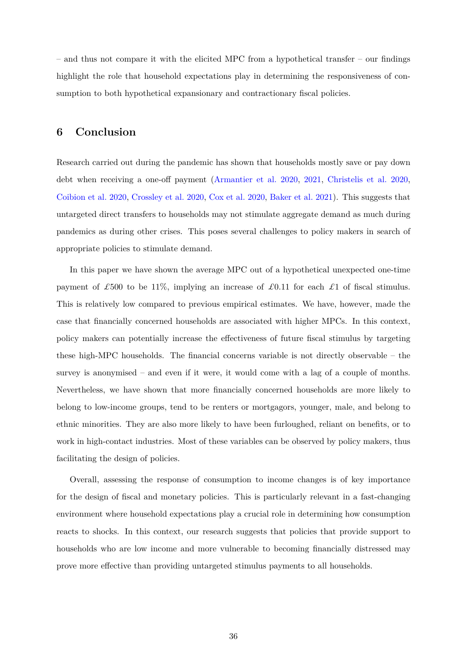– and thus not compare it with the elicited MPC from a hypothetical transfer – our fndings highlight the role that household expectations play in determining the responsiveness of consumption to both hypothetical expansionary and contractionary fscal policies.

#### <span id="page-37-0"></span>**6 Conclusion**

Research carried out during the pandemic has shown that households mostly save or pay down debt when receiving a one-off payment [\(Armantier et al. 2020,](#page-47-1) [2021,](#page-47-2) [Christelis et al. 2020,](#page-48-0) [Coibion et al. 2020,](#page-48-1) [Crossley et al. 2020,](#page-48-2) [Cox et al. 2020,](#page-48-3) [Baker et al. 2021\)](#page-47-3). This suggests that untargeted direct transfers to households may not stimulate aggregate demand as much during pandemics as during other crises. This poses several challenges to policy makers in search of appropriate policies to stimulate demand.

In this paper we have shown the average MPC out of a hypothetical unexpected one-time payment of £500 to be 11%, implying an increase of £0.11 for each £1 of fiscal stimulus. This is relatively low compared to previous empirical estimates. We have, however, made the case that fnancially concerned households are associated with higher MPCs. In this context, policy makers can potentially increase the effectiveness of future fiscal stimulus by targeting these high-MPC households. The fnancial concerns variable is not directly observable – the survey is anonymised – and even if it were, it would come with a lag of a couple of months. Nevertheless, we have shown that more fnancially concerned households are more likely to belong to low-income groups, tend to be renters or mortgagors, younger, male, and belong to ethnic minorities. They are also more likely to have been furloughed, reliant on benefts, or to work in high-contact industries. Most of these variables can be observed by policy makers, thus facilitating the design of policies.

Overall, assessing the response of consumption to income changes is of key importance for the design of fscal and monetary policies. This is particularly relevant in a fast-changing environment where household expectations play a crucial role in determining how consumption reacts to shocks. In this context, our research suggests that policies that provide support to households who are low income and more vulnerable to becoming fnancially distressed may prove more effective than providing untargeted stimulus payments to all households.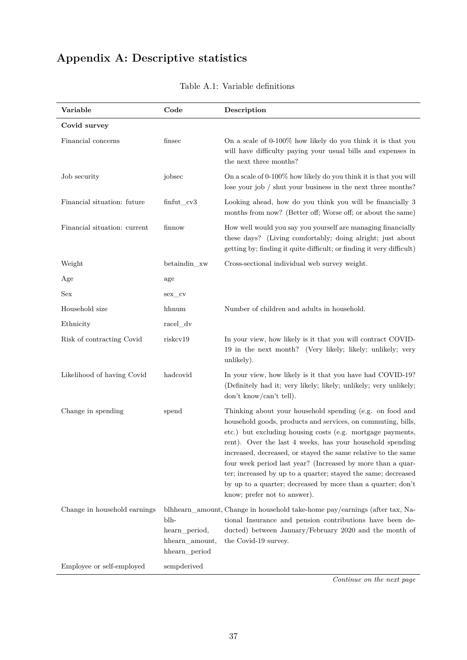# <span id="page-38-1"></span><span id="page-38-0"></span>**Appendix A: Descriptive statistics**

| Variable                     | Code                                                     | Description                                                                                                                                                                                                                                                                                                                                                                                                                                                                                                                                         |
|------------------------------|----------------------------------------------------------|-----------------------------------------------------------------------------------------------------------------------------------------------------------------------------------------------------------------------------------------------------------------------------------------------------------------------------------------------------------------------------------------------------------------------------------------------------------------------------------------------------------------------------------------------------|
| Covid survey                 |                                                          |                                                                                                                                                                                                                                                                                                                                                                                                                                                                                                                                                     |
| Financial concerns           | finsec                                                   | On a scale of 0-100% how likely do you think it is that you<br>will have difficulty paying your usual bills and expenses in<br>the next three months?                                                                                                                                                                                                                                                                                                                                                                                               |
| Job security                 | jobsec                                                   | On a scale of 0-100% how likely do you think it is that you will<br>lose your job $/$ shut your business in the next three months?                                                                                                                                                                                                                                                                                                                                                                                                                  |
| Financial situation: future  | $\text{fin}$ fut_cv3                                     | Looking ahead, how do you think you will be financially 3<br>months from now? (Better off; Worse off; or about the same)                                                                                                                                                                                                                                                                                                                                                                                                                            |
| Financial situation: current | finnow                                                   | How well would you say you yourself are managing financially<br>these days? (Living comfortably; doing alright; just about<br>getting by; finding it quite difficult; or finding it very difficult)                                                                                                                                                                                                                                                                                                                                                 |
| Weight                       | betaindin_xw                                             | Cross-sectional individual web survey weight.                                                                                                                                                                                                                                                                                                                                                                                                                                                                                                       |
| Age                          | age                                                      |                                                                                                                                                                                                                                                                                                                                                                                                                                                                                                                                                     |
| Sex                          | sex cv                                                   |                                                                                                                                                                                                                                                                                                                                                                                                                                                                                                                                                     |
| Household size               | hhnum                                                    | Number of children and adults in household.                                                                                                                                                                                                                                                                                                                                                                                                                                                                                                         |
| Ethnicity                    | racel_dv                                                 |                                                                                                                                                                                                                                                                                                                                                                                                                                                                                                                                                     |
| Risk of contracting Covid    | riskcv19                                                 | In your view, how likely is it that you will contract COVID-<br>19 in the next month? (Very likely; likely; unlikely; very<br>unlikely).                                                                                                                                                                                                                                                                                                                                                                                                            |
| Likelihood of having Covid   | hadcovid                                                 | In your view, how likely is it that you have had COVID-19?<br>(Definitely had it; very likely; likely; unlikely; very unlikely;<br>don't know/can't tell).                                                                                                                                                                                                                                                                                                                                                                                          |
| Change in spending           | spend                                                    | Thinking about your household spending (e.g. on food and<br>household goods, products and services, on commuting, bills,<br>etc.) but excluding housing costs (e.g. mortgage payments,<br>rent). Over the last 4 weeks, has your household spending<br>increased, decreased, or stayed the same relative to the same<br>four week period last year? (Increased by more than a quar-<br>ter; increased by up to a quarter; stayed the same; decreased<br>by up to a quarter; decreased by more than a quarter; don't<br>know; prefer not to answer). |
| Change in household earnings | blh-<br>hearn_period,<br>hhearn_amount,<br>hhearn_period | blhhearn_amount, Change in household take-home pay/earnings (after tax, Na-<br>tional Insurance and pension contributions have been de-<br>ducted) between January/February 2020 and the month of<br>the Covid-19 survey.                                                                                                                                                                                                                                                                                                                           |
| Employee or self-employed    | sempderived                                              |                                                                                                                                                                                                                                                                                                                                                                                                                                                                                                                                                     |

Table A.1: Variable defnitions

*Continue on the next page*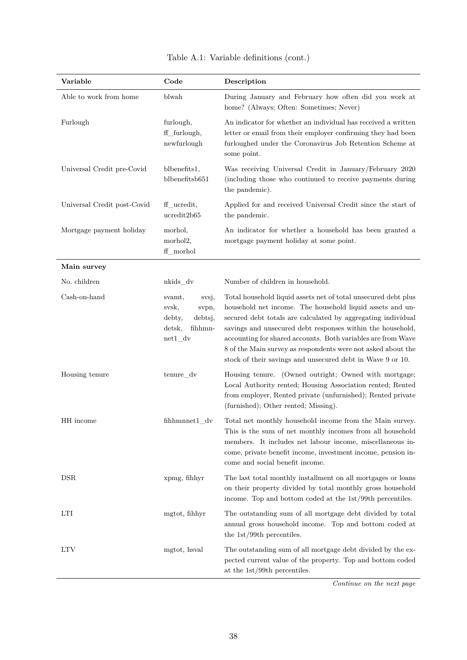| Variable                    | Code                                                                                      | Description                                                                                                                                                                                                                                                                                                                                                                                                                                             |
|-----------------------------|-------------------------------------------------------------------------------------------|---------------------------------------------------------------------------------------------------------------------------------------------------------------------------------------------------------------------------------------------------------------------------------------------------------------------------------------------------------------------------------------------------------------------------------------------------------|
| Able to work from home      | blwah                                                                                     | During January and February how often did you work at<br>home? (Always; Often: Sometimes; Never)                                                                                                                                                                                                                                                                                                                                                        |
| Furlough                    | furlough,<br>ff_furlough,<br>newfurlough                                                  | An indicator for whether an individual has received a written<br>letter or email from their employer confirming they had been<br>furloughed under the Coronavirus Job Retention Scheme at<br>some point.                                                                                                                                                                                                                                                |
| Universal Credit pre-Covid  | blbenefits1,<br>blbenefitsb651                                                            | Was receiving Universal Credit in January/February 2020<br>(including those who continued to receive payments during<br>the pandemic).                                                                                                                                                                                                                                                                                                                  |
| Universal Credit post-Covid | ff_ucredit,<br>ucredit2b65                                                                | Applied for and received Universal Credit since the start of<br>the pandemic.                                                                                                                                                                                                                                                                                                                                                                           |
| Mortgage payment holiday    | morhol,<br>morhol2,<br>ff_morhol                                                          | An indicator for whether a household has been granted a<br>mortgage payment holiday at some point.                                                                                                                                                                                                                                                                                                                                                      |
| Main survey                 |                                                                                           |                                                                                                                                                                                                                                                                                                                                                                                                                                                         |
| No. children                | nkids dv                                                                                  | Number of children in household.                                                                                                                                                                                                                                                                                                                                                                                                                        |
| Cash-on-hand                | svamt,<br>svsj,<br>svsk,<br>svpn,<br>debtsj,<br>debty,<br>detsk,<br>fihhmn-<br>$net1_d v$ | Total household liquid assets net of total unsecured debt plus<br>household net income. The household liquid assets and un-<br>secured debt totals are calculated by aggregating individual<br>savings and unsecured debt responses within the household,<br>accounting for shared accounts. Both variables are from Wave<br>8 of the Main survey as respondents were not asked about the<br>stock of their savings and unsecured debt in Wave 9 or 10. |
| Housing tenure              | tenure_dv                                                                                 | Housing tenure. (Owned outright; Owned with mortgage;<br>Local Authority rented; Housing Association rented; Rented<br>from employer, Rented private (unfurnished); Rented private<br>(furnished); Other rented; Missing).                                                                                                                                                                                                                              |
| HH income                   | $\operatorname{fihhmmnet1\_dv}$                                                           | Total net monthly household income from the Main survey.<br>This is the sum of net monthly incomes from all household<br>members. It includes net labour income, miscellaneous in-<br>come, private benefit income, investment income, pension in-<br>come and social benefit income.                                                                                                                                                                   |
| <b>DSR</b>                  | xpmg, fihhyr                                                                              | The last total monthly installment on all mortgages or loans<br>on their property divided by total monthly gross household<br>income. Top and bottom coded at the 1st/99th percentiles.                                                                                                                                                                                                                                                                 |
| <b>LTI</b>                  | mgtot, fihhyr                                                                             | The outstanding sum of all mortgage debt divided by total<br>annual gross household income. Top and bottom coded at<br>the $1st/99th$ percentiles.                                                                                                                                                                                                                                                                                                      |
| <b>LTV</b>                  | mgtot, hsval                                                                              | The outstanding sum of all mortgage debt divided by the ex-<br>pected current value of the property. Top and bottom coded<br>at the $1st/99th$ percentiles.                                                                                                                                                                                                                                                                                             |

|  |  | Table A.1: Variable definitions (cont.) |  |  |
|--|--|-----------------------------------------|--|--|
|--|--|-----------------------------------------|--|--|

*Continue on the next page*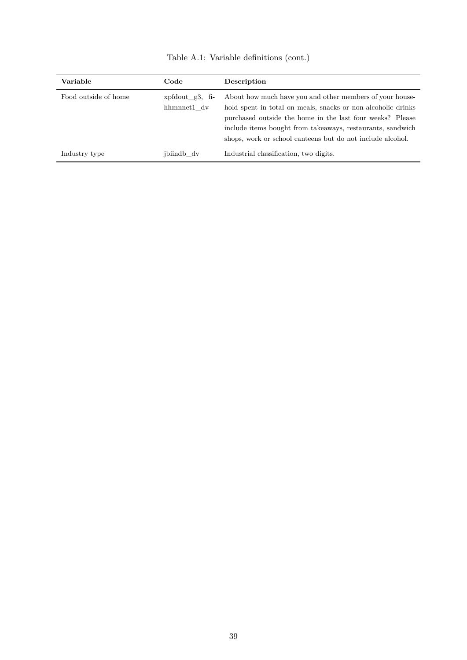| Variable             | Code                                  | Description                                                                                                                                                                                                                                                                                                       |
|----------------------|---------------------------------------|-------------------------------------------------------------------------------------------------------------------------------------------------------------------------------------------------------------------------------------------------------------------------------------------------------------------|
| Food outside of home | $x$ xpfdout $g3$ , fi-<br>hhmnnet1 dv | About how much have you and other members of your house-<br>hold spent in total on meals, snacks or non-alcoholic drinks<br>purchased outside the home in the last four weeks? Please<br>include items bought from takeaways, restaurants, sandwich<br>shops, work or school canteens but do not include alcohol. |
| Industry type        | jbiindb dv                            | Industrial classification, two digits.                                                                                                                                                                                                                                                                            |

Table A.1: Variable defnitions (cont.)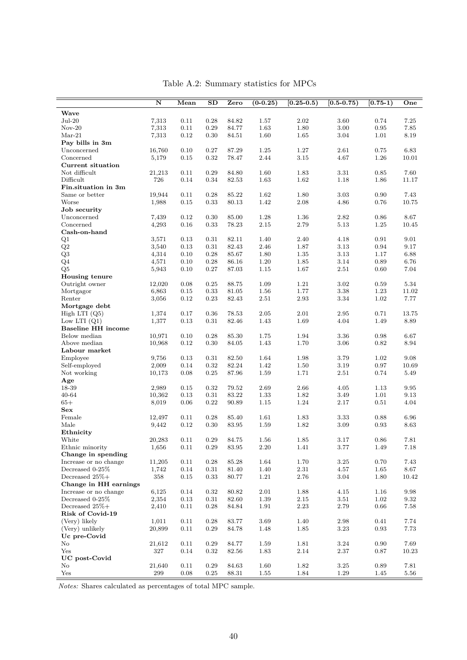<span id="page-41-0"></span>

|                           | N      | Mean     | SD         | Zero      | $(0-0.25)$ | $\overline{[0.25-0.5)}$ | $(0.5 - 0.75)$ | $\overline{[0.75-1)}$ | One       |
|---------------------------|--------|----------|------------|-----------|------------|-------------------------|----------------|-----------------------|-----------|
| Wave                      |        |          |            |           |            |                         |                |                       |           |
| $Jul-20$                  | 7,313  | 0.11     | 0.28       | 84.82     | 1.57       | 2.02                    | 3.60           | 0.74                  | 7.25      |
| $Nov-20$                  | 7,313  | 0.11     | 0.29       | 84.77     | 1.63       | $1.80\,$                | 3.00           | $\,0.95\,$            | 7.85      |
| $Mar-21$                  | 7,313  | 0.12     | $0.30\,$   | 84.51     | 1.60       | 1.65                    | 3.04           | 1.01                  | 8.19      |
| Pay bills in 3m           |        |          |            |           |            |                         |                |                       |           |
| Unconcerned               | 16,760 | 0.10     | 0.27       | 87.29     | 1.25       | 1.27                    | 2.61           | 0.75                  | 6.83      |
| Concerned                 | 5,179  | 0.15     | 0.32       | 78.47     | 2.44       | $3.15\,$                | 4.67           | 1.26                  | 10.01     |
| Current situation         |        |          |            |           |            |                         |                |                       |           |
| Not difficult             | 21,213 | 0.11     | 0.29       | 84.80     | 1.60       | 1.83                    | 3.31           | 0.85                  | 7.60      |
| Difficult                 | 726    | 0.14     | 0.34       | 82.53     | 1.63       | 1.62                    | 1.18           | 1.86                  | 11.17     |
| Fin.situation in 3m       |        |          |            |           |            |                         |                |                       |           |
| Same or better            | 19,944 | 0.11     | 0.28       | 85.22     | 1.62       | 1.80                    | 3.03           | 0.90                  | 7.43      |
| Worse                     | 1,988  | 0.15     | 0.33       | 80.13     | 1.42       | 2.08                    | 4.86           | 0.76                  | 10.75     |
| Job security              |        |          |            |           |            |                         |                |                       |           |
| Unconcerned               | 7,439  | 0.12     | 0.30       | 85.00     | 1.28       | 1.36                    | 2.82           | 0.86                  | 8.67      |
| Concerned                 | 4,293  | 0.16     | 0.33       | 78.23     | 2.15       | 2.79                    | 5.13           | 1.25                  | 10.45     |
| Cash-on-hand              |        |          |            |           |            |                         |                |                       |           |
| Q1                        | 3,571  | 0.13     | 0.31       | 82.11     | 1.40       | 2.40                    | 4.18           | 0.91                  | 9.01      |
| $\mathrm{Q}2$             | 3,540  | 0.13     | 0.31       | 82.43     | 2.46       | 1.87                    | $3.13\,$       | 0.94                  | 9.17      |
| $\mathrm{Q}3$             | 4,314  | 0.10     | 0.28       | 85.67     | 1.80       | 1.35                    | 3.13           | 1.17                  | 6.88      |
| $Q_4$                     | 4,571  | 0.10     | 0.28       | 86.16     | 1.20       | 1.85                    | 3.14           | 0.89                  | 6.76      |
| Q5                        | 5,943  | 0.10     | 0.27       | 87.03     | 1.15       | 1.67                    | 2.51           | 0.60                  | 7.04      |
| Housing tenure            |        |          |            |           |            |                         |                |                       |           |
| Outright owner            | 12,020 | 0.08     | 0.25       | 88.75     | 1.09       | 1.21                    | 3.02           | 0.59                  | 5.34      |
| Mortgagor                 | 6,863  | 0.15     | 0.33       | 81.05     | 1.56       | 1.77                    | 3.38           | 1.23                  | 11.02     |
| Renter                    | 3,056  | 0.12     | 0.23       | 82.43     | $2.51\,$   | 2.93                    | 3.34           | 1.02                  | 7.77      |
| Mortgage debt             |        |          |            |           |            |                         |                |                       |           |
| High LTI $(Q5)$           | 1,374  | 0.17     | 0.36       | 78.53     | 2.05       | $2.01\,$                | 2.95           | 0.71                  | 13.75     |
| Low LTI $(Q1)$            | 1,377  | 0.13     | 0.31       | 82.46     | 1.43       | 1.69                    | 4.04           | 1.49                  | 8.89      |
| <b>Baseline HH</b> income |        |          |            |           |            |                         |                |                       |           |
| Below median              | 10,971 | 0.10     | 0.28       | 85.30     | 1.75       | 1.94                    | 3.36           | 0.98                  | 6.67      |
| Above median              | 10,968 | 0.12     | 0.30       | 84.05     | 1.43       | 1.70                    | 3.06           | 0.82                  | 8.94      |
| Labour market             |        |          |            |           |            |                         |                |                       |           |
| Employee                  | 9,756  | 0.13     | 0.31       | 82.50     | 1.64       | 1.98                    | 3.79           | 1.02                  | 9.08      |
| Self-employed             | 2,009  | 0.14     | 0.32       | 82.24     | 1.42       | 1.50                    | 3.19           | 0.97                  | 10.69     |
| Not working               | 10,173 | 0.08     | 0.25       | 87.96     | 1.59       | 1.71                    | 2.51           | 0.74                  | 5.49      |
| Age                       |        |          |            |           |            |                         |                |                       |           |
| 18-39                     | 2,989  | 0.15     | 0.32       | 79.52     | 2.69       | 2.66                    | 4.05           | 1.13                  | 9.95      |
| 40-64                     | 10,362 | 0.13     | 0.31       | 83.22     | 1.33       | 1.82                    | 3.49           | 1.01                  | 9.13      |
| $65+$                     | 8,019  | 0.06     | 0.22       | 90.89     | 1.15       | 1.24                    | 2.17           | 0.51                  | 4.04      |
| <b>Sex</b>                |        |          |            |           |            |                         |                |                       |           |
| Female                    | 12,497 | 0.11     | 0.28       | 85.40     | 1.61       | 1.83                    | 3.33           | 0.88                  | 6.96      |
| Male                      | 9,442  | 0.12     | 0.30       | 83.95     | 1.59       | 1.82                    | 3.09           | 0.93                  | 8.63      |
| Ethnicity                 |        |          |            |           |            |                         |                |                       |           |
| White                     | 20,283 | 0.11     | 0.29       | 84.75     | 1.56       | 1.85                    | 3.17           | 0.86                  | 7.81      |
| Ethnic minority           | 1,656  | $0.11\,$ | $\rm 0.29$ | $83.95\,$ | $2.20\,$   | $1.41\,$                | 3.77           | $1.49\,$              | $7.18\,$  |
| Change in spending        |        |          |            |           |            |                         |                |                       |           |
| Increase or no change     | 11,205 | 0.11     | 0.28       | 85.28     | 1.64       | 1.70                    | $3.25\,$       | 0.70                  | 7.43      |
| Decreased 0-25%           | 1,742  | 0.14     | $\rm 0.31$ | 81.40     | 1.40       | 2.31                    | 4.57           | 1.65                  | 8.67      |
| Decreased 25%+            | 358    | 0.15     | 0.33       | 80.77     | 1.21       | 2.76                    | 3.04           | 1.80                  | 10.42     |
| Change in HH earnings     |        |          |            |           |            |                         |                |                       |           |
| Increase or no change     | 6,125  | 0.14     | 0.32       | 80.82     | 2.01       | 1.88                    | 4.15           | 1.16                  | 9.98      |
| Decreased 0-25%           | 2,354  | 0.13     | 0.31       | 82.60     | 1.39       | $2.15\,$                | 3.51           | 1.02                  | 9.32      |
| Decreased $25\%+$         | 2,410  | 0.11     | 0.28       | 84.84     | 1.91       | 2.23                    | 2.79           | 0.66                  | 7.58      |
| Risk of Covid-19          |        |          |            |           |            |                         |                |                       |           |
| (Very) likely             | 1,011  | 0.11     | 0.28       | 83.77     | $3.69\,$   | 1.40                    | 2.98           | 0.41                  | 7.74      |
| (Very) unlikely           | 20,899 | 0.11     | 0.29       | 84.78     | 1.48       | 1.85                    | $3.23\,$       | 0.93                  | $7.73\,$  |
| Uc pre-Covid              |        |          |            |           |            |                         |                |                       |           |
| $\rm No$                  | 21,612 | 0.11     | 0.29       | 84.77     | 1.59       | 1.81                    | 3.24           | 0.90                  | 7.69      |
| Yes                       | 327    | 0.14     | 0.32       | 82.56     | 1.83       | $2.14\,$                | 2.37           | 0.87                  | $10.23\,$ |
| UC post-Covid             |        |          |            |           |            |                         |                |                       |           |
| $\rm No$                  | 21,640 | 0.11     | 0.29       | 84.63     | 1.60       | 1.82                    | $3.25\,$       | 0.89                  | 7.81      |
| Yes                       | 299    | 0.08     | 0.25       | 88.31     | 1.55       | 1.84                    | 1.29           | 1.45                  | 5.56      |
|                           |        |          |            |           |            |                         |                |                       |           |

Table A.2: Summary statistics for MPCs

*Notes:* Shares calculated as percentages of total MPC sample.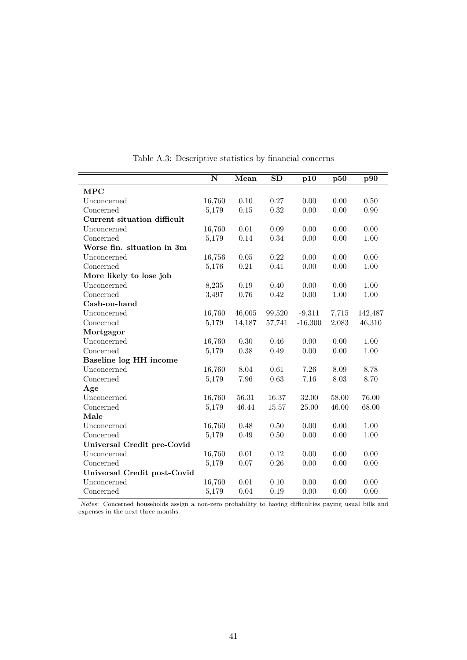<span id="page-42-0"></span>

|                             | $\overline{\mathbf{N}}$ | Mean     | $\overline{\text{SD}}$ | p10       | p50   | p90     |
|-----------------------------|-------------------------|----------|------------------------|-----------|-------|---------|
| <b>MPC</b>                  |                         |          |                        |           |       |         |
| Unconcerned                 | 16,760                  | 0.10     | 0.27                   | 0.00      | 0.00  | 0.50    |
| Concerned                   | 5,179                   | $0.15\,$ | 0.32                   | 0.00      | 0.00  | 0.90    |
| Current situation difficult |                         |          |                        |           |       |         |
| Unconcerned                 | 16,760                  | 0.01     | $0.09\,$               | 0.00      | 0.00  | 0.00    |
| Concerned                   | 5,179                   | 0.14     | 0.34                   | 0.00      | 0.00  | 1.00    |
| Worse fin. situation in 3m  |                         |          |                        |           |       |         |
| Unconcerned                 | 16,756                  | $0.05\,$ | 0.22                   | 0.00      | 0.00  | 0.00    |
| Concerned                   | 5,176                   | 0.21     | 0.41                   | 0.00      | 0.00  | 1.00    |
| More likely to lose job     |                         |          |                        |           |       |         |
| Unconcerned                 | 8,235                   | 0.19     | 0.40                   | 0.00      | 0.00  | 1.00    |
| Concerned                   | 3,497                   | 0.76     | 0.42                   | 0.00      | 1.00  | 1.00    |
| Cash-on-hand                |                         |          |                        |           |       |         |
| Unconcerned                 | 16,760                  | 46,005   | 99,520                 | $-9,311$  | 7,715 | 142,487 |
| Concerned                   | 5,179                   | 14,187   | 57,741                 | $-16,300$ | 2,083 | 46,310  |
| Mortgagor                   |                         |          |                        |           |       |         |
| Unconcerned                 | 16,760                  | $0.30\,$ | 0.46                   | 0.00      | 0.00  | 1.00    |
| Concerned                   | 5,179                   | 0.38     | 0.49                   | 0.00      | 0.00  | 1.00    |
| Baseline log HH income      |                         |          |                        |           |       |         |
| Unconcerned                 | 16,760                  | 8.04     | 0.61                   | 7.26      | 8.09  | 8.78    |
| Concerned                   | 5,179                   | 7.96     | 0.63                   | 7.16      | 8.03  | 8.70    |
| Age                         |                         |          |                        |           |       |         |
| Unconcerned                 | 16,760                  | 56.31    | 16.37                  | 32.00     | 58.00 | 76.00   |
| Concerned                   | 5,179                   | 46.44    | 15.57                  | 25.00     | 46.00 | 68.00   |
| Male                        |                         |          |                        |           |       |         |
| Unconcerned                 | 16,760                  | 0.48     | 0.50                   | 0.00      | 0.00  | 1.00    |
| Concerned                   | 5,179                   | 0.49     | $0.50\,$               | 0.00      | 0.00  | 1.00    |
| Universal Credit pre-Covid  |                         |          |                        |           |       |         |
| Unconcerned                 | 16,760                  | 0.01     | 0.12                   | 0.00      | 0.00  | 0.00    |
| Concerned                   | 5,179                   | 0.07     | 0.26                   | 0.00      | 0.00  | 0.00    |
| Universal Credit post-Covid |                         |          |                        |           |       |         |
| Unconcerned                 | 16,760                  | 0.01     | 0.10                   | 0.00      | 0.00  | 0.00    |
| Concerned                   | 5,179                   | 0.04     | 0.19                   | 0.00      | 0.00  | 0.00    |

Table A.3: Descriptive statistics by fnancial concerns

*Notes*: Concerned households assign a non-zero probability to having difficulties paying usual bills and expenses in the next three months.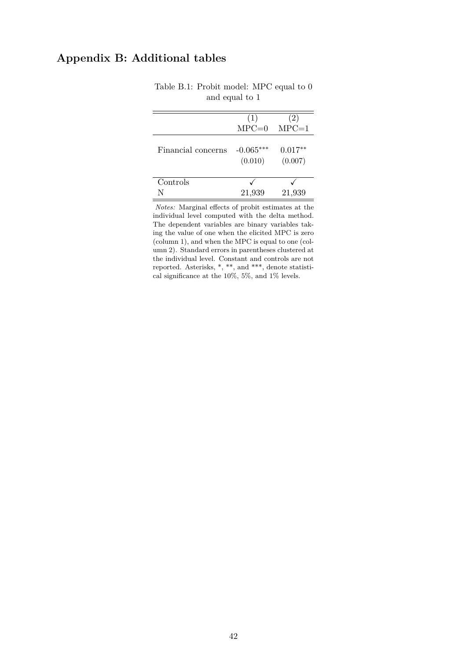## <span id="page-43-1"></span><span id="page-43-0"></span>**Appendix B: Additional tables**

|                    | (1)                    | (2)                  |
|--------------------|------------------------|----------------------|
|                    | $MPC=0$                | $MPC=1$              |
| Financial concerns | $-0.065***$<br>(0.010) | $0.017**$<br>(0.007) |
| Controls           |                        |                      |
|                    | 21,939                 | 21,939               |

#### Table B.1: Probit model: MPC equal to 0 and equal to 1

*Notes:* Marginal effects of probit estimates at the individual level computed with the delta method. The dependent variables are binary variables taking the value of one when the elicited MPC is zero (column 1), and when the MPC is equal to one (column 2). Standard errors in parentheses clustered at the individual level. Constant and controls are not reported. Asterisks, \*, \*\*, and \*\*\*, denote statistical significance at the 10%, 5%, and 1% levels.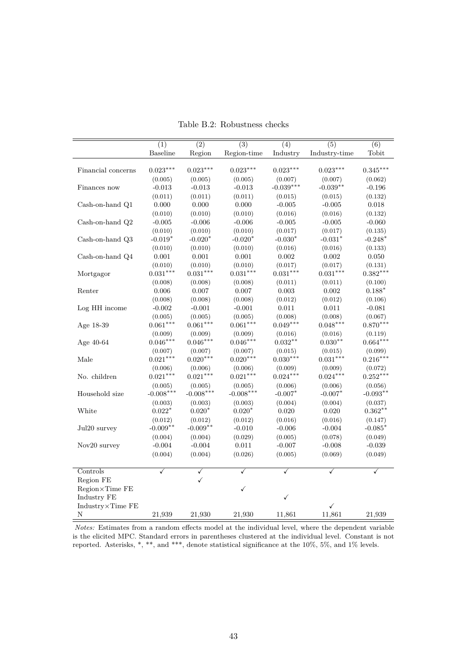<span id="page-44-0"></span>

|                    | (1)         | $\overline{(2)}$ | $\overline{(3)}$ | (4)          | $\overline{(5)}$ | (6)        |
|--------------------|-------------|------------------|------------------|--------------|------------------|------------|
|                    | Baseline    | Region           | Region-time      | Industry     | Industry-time    | Tobit      |
|                    |             |                  |                  |              |                  |            |
| Financial concerns | $0.023***$  | $0.023***$       | $0.023***$       | $0.023***$   | $0.023***$       | $0.345***$ |
|                    | (0.005)     | (0.005)          | (0.005)          | (0.007)      | (0.007)          | (0.062)    |
| Finances now       | $-0.013$    | $-0.013$         | $-0.013$         | $-0.039***$  | $-0.039**$       | $-0.196$   |
|                    | (0.011)     | (0.011)          | (0.011)          | (0.015)      | (0.015)          | (0.132)    |
| Cash-on-hand Q1    | 0.000       | 0.000            | 0.000            | $-0.005$     | $-0.005$         | 0.018      |
|                    | (0.010)     | (0.010)          | (0.010)          | (0.016)      | (0.016)          | (0.132)    |
| Cash-on-hand Q2    | $-0.005$    | $-0.006$         | $-0.006$         | $-0.005$     | $-0.005$         | $-0.060$   |
|                    | (0.010)     | (0.010)          | (0.010)          | (0.017)      | (0.017)          | (0.135)    |
| Cash-on-hand Q3    | $-0.019*$   | $-0.020*$        | $-0.020*$        | $-0.030*$    | $-0.031*$        | $-0.248*$  |
|                    | (0.010)     | (0.010)          | (0.010)          | (0.016)      | (0.016)          | (0.133)    |
| Cash-on-hand Q4    | $0.001\,$   | $0.001\,$        | $0.001\,$        | 0.002        | 0.002            | 0.050      |
|                    | (0.010)     | (0.010)          | (0.010)          | (0.017)      | (0.017)          | (0.131)    |
| Mortgagor          | $0.031***$  | $0.031***$       | $0.031***$       | $0.031***$   | $0.031***$       | $0.382***$ |
|                    | (0.008)     | (0.008)          | (0.008)          | (0.011)      | (0.011)          | (0.100)    |
| Renter             | 0.006       | 0.007            | 0.007            | 0.003        | 0.002            | $0.188*$   |
|                    | (0.008)     | (0.008)          | (0.008)          | (0.012)      | (0.012)          | (0.106)    |
| Log HH income      | $-0.002$    | $-0.001$         | $-0.001$         | 0.011        | 0.011            | $-0.081$   |
|                    | (0.005)     | (0.005)          | (0.005)          | (0.008)      | (0.008)          | (0.067)    |
| Age 18-39          | $0.061***$  | $0.061***$       | $0.061***$       | $0.049***$   | $0.048***$       | $0.870***$ |
|                    | (0.009)     | (0.009)          | (0.009)          | (0.016)      | (0.016)          | (0.119)    |
| Age $40-64$        | $0.046***$  | $0.046***$       | $0.046***$       | $0.032**$    | $0.030**$        | $0.664***$ |
|                    | (0.007)     | (0.007)          | (0.007)          | (0.015)      | (0.015)          | (0.099)    |
| Male               | $0.021***$  | $0.020***$       | $0.020***$       | $0.030***$   | $0.031***$       | $0.216***$ |
|                    | (0.006)     | (0.006)          | (0.006)          | (0.009)      | (0.009)          | (0.072)    |
| No. children       | $0.021***$  | $0.021***$       | $0.021***$       | $0.024***$   | $0.024***$       | $0.252***$ |
|                    | (0.005)     | (0.005)          | (0.005)          | (0.006)      | (0.006)          | (0.056)    |
| Household size     | $-0.008***$ | $-0.008***$      | $-0.008***$      | $-0.007*$    | $-0.007*$        | $-0.093**$ |
|                    | (0.003)     | (0.003)          | (0.003)          | (0.004)      | (0.004)          | (0.037)    |
| White              | $0.022*$    | $0.020*$         | $0.020*$         | 0.020        | 0.020            | $0.362**$  |
|                    | (0.012)     | (0.012)          | (0.012)          | (0.016)      | (0.016)          | (0.147)    |
| Jul20 survey       | $-0.009**$  | $-0.009**$       | $-0.010$         | $-0.006$     | $-0.004$         | $-0.085*$  |
|                    | (0.004)     | (0.004)          | (0.029)          | (0.005)      | (0.078)          | (0.049)    |
| Nov20 survey       | $-0.004$    | $-0.004$         | $0.011\,$        | $-0.007$     | $-0.008$         | $-0.039$   |
|                    | (0.004)     | (0.004)          | (0.026)          | (0.005)      | (0.069)          | (0.049)    |
|                    |             |                  |                  |              |                  |            |
| Controls           | ✓           | ✓                | ✓                | ✓            | $\checkmark$     | ✓          |
| Region FE          |             | $\checkmark$     |                  |              |                  |            |
| Region×Time FE     |             |                  | ✓                |              |                  |            |
| Industry FE        |             |                  |                  | $\checkmark$ |                  |            |
| Industry×Time FE   |             |                  |                  |              | ✓                |            |
| Ν                  | 21,939      | 21,930           | 21,930           | 11,861       | 11,861           | 21,939     |

Table B.2: Robustness checks

*Notes:* Estimates from a random effects model at the individual level, where the dependent variable is the elicited MPC. Standard errors in parentheses clustered at the individual level. Constant is not reported. Asterisks, \*, \*\*, and \*\*\*, denote statistical signifcance at the 10%, 5%, and 1% levels.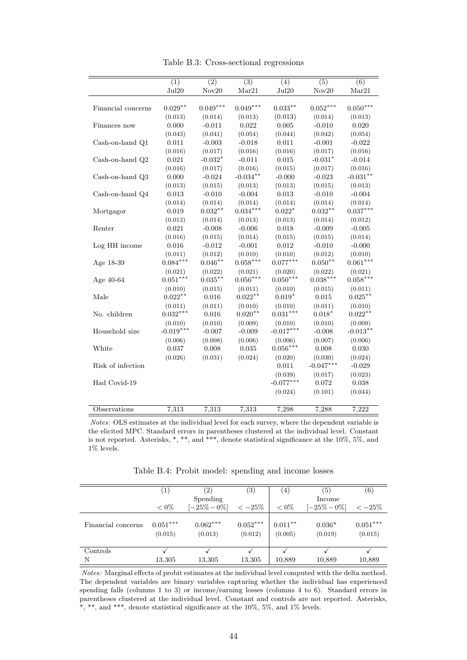| Table B.3: Cross-sectional regressions |
|----------------------------------------|
|----------------------------------------|

<span id="page-45-0"></span>

|                    | $\overline{(1)}$ | $\overline{(2)}$ | $\overline{(3)}$ | $\overline{(4)}$ | $\overline{(5)}$ | $\overline{(6)}$ |
|--------------------|------------------|------------------|------------------|------------------|------------------|------------------|
|                    | Jul20            | Nov20            | Mar21            | Jul20            | Nov20            | Mar21            |
|                    |                  |                  |                  |                  |                  |                  |
| Financial concerns | $0.029**$        | $0.049***$       | $0.049***$       | $0.033**$        | $0.052***$       | $0.050***$       |
|                    | (0.013)          | (0.014)          | (0.013)          | (0.013)          | (0.014)          | (0.013)          |
| Finances now       | 0.000            | $-0.011$         | 0.022            | 0.005            | $-0.010$         | 0.020            |
|                    | (0.043)          | (0.041)          | (0.054)          | (0.044)          | (0.042)          | (0.054)          |
| Cash-on-hand Q1    | 0.011            | $-0.003$         | $-0.018$         | 0.011            | $-0.001$         | $-0.022$         |
|                    | (0.016)          | (0.017)          | (0.016)          | (0.016)          | (0.017)          | (0.016)          |
| Cash-on-hand Q2    | 0.021            | $-0.032*$        | $-0.011$         | 0.015            | $-0.031*$        | $-0.014$         |
|                    | (0.016)          | (0.017)          | (0.016)          | (0.015)          | (0.017)          | (0.016)          |
| Cash-on-hand Q3    | 0.000            | $-0.024$         | $-0.034**$       | $-0.000$         | $-0.023$         | $-0.031**$       |
|                    | (0.013)          | (0.015)          | (0.013)          | (0.013)          | (0.015)          | (0.013)          |
| Cash-on-hand Q4    | 0.013            | $-0.010$         | $-0.004$         | 0.013            | $-0.010$         | $-0.004$         |
|                    | (0.014)          | (0.014)          | (0.014)          | (0.014)          | (0.014)          | (0.014)          |
| Mortgagor          | 0.019            | $0.032**$        | $0.034***$       | $0.022*$         | $0.032**$        | $0.037***$       |
|                    | (0.013)          | (0.014)          | (0.013)          | (0.013)          | (0.014)          | (0.012)          |
| Renter             | 0.021            | $-0.008$         | $-0.006$         | 0.018            | $-0.009$         | $-0.005$         |
|                    | (0.016)          | (0.015)          | (0.014)          | (0.015)          | (0.015)          | (0.014)          |
| Log HH income      | $0.016\,$        | $-0.012$         | $-0.001$         | 0.012            | $-0.010$         | $-0.000$         |
|                    | (0.011)          | (0.012)          | (0.010)          | (0.010)          | (0.012)          | (0.010)          |
| Age 18-39          | $0.084***$       | $0.046**$        | $0.058***$       | $0.077***$       | $0.050**$        | $0.061***$       |
|                    | (0.021)          | (0.022)          | (0.021)          | (0.020)          | (0.022)          | (0.021)          |
| Age 40-64          | $0.051***$       | $0.035***$       | $0.056***$       | $0.050***$       | $0.038***$       | $0.058***$       |
|                    | (0.010)          | (0.015)          | (0.011)          | (0.010)          | (0.015)          | (0.011)          |
| Male               | $0.022**$        | 0.016            | $0.022**$        | $0.019*$         | 0.015            | $0.025***$       |
|                    | (0.011)          | (0.011)          | (0.010)          | (0.010)          | (0.011)          | (0.010)          |
| No. children       | $0.032***$       | 0.016            | $0.020**$        | $0.031***$       | $0.018*$         | $0.022***$       |
|                    | (0.010)          | (0.010)          | (0.009)          | (0.010)          | (0.010)          | (0.009)          |
| Household size     | $-0.019***$      | $-0.007$         | $-0.009$         | $-0.017***$      | $-0.008$         | $-0.013**$       |
|                    | (0.006)          | (0.008)          | (0.006)          | (0.006)          | (0.007)          | (0.006)          |
| White              | 0.037            | 0.008            | 0.035            | $0.056***$       | 0.008            | 0.030            |
|                    | (0.026)          | (0.031)          | (0.024)          | (0.020)          | (0.030)          | (0.024)          |
| Risk of infection  |                  |                  |                  | 0.011            | $-0.047***$      | $-0.029$         |
|                    |                  |                  |                  | (0.039)          | (0.017)          | (0.023)          |
| Had Covid-19       |                  |                  |                  | $-0.077***$      | $\rm 0.072$      | $\,0.038\,$      |
|                    |                  |                  |                  | (0.024)          | (0.101)          | (0.044)          |
|                    |                  |                  |                  |                  |                  |                  |
| Observations       | 7,313            | 7,313            | 7,313            | 7,298            | 7,288            | 7,222            |

*Notes:* OLS estimates at the individual level for each survey, where the dependent variable is the elicited MPC. Standard errors in parentheses clustered at the individual level. Constant is not reported. Asterisks, \*, \*\*, and \*\*\*, denote statistical signifcance at the 10%, 5%, and  $1\%$  levels.

Table B.4: Probit model: spending and income losses

<span id="page-45-1"></span>

|                    | $\left( \mathbf{I}\right)$ | $\left( 2\right)$     | $\left( 3\right)$     | (4)                  | $\left(5\right)$    | $\left( 6\right)$     |
|--------------------|----------------------------|-----------------------|-----------------------|----------------------|---------------------|-----------------------|
|                    |                            | Spending              |                       |                      | Income              |                       |
|                    | $< 0\%$                    | $[-25\% - 0\%]$       | $<-25%$               | $< 0\%$              | $[-25\% - 0\%]$     | $<-25%$               |
| Financial concerns | $0.051***$<br>(0.015)      | $0.062***$<br>(0.013) | $0.052***$<br>(0.012) | $0.011**$<br>(0.005) | $0.036*$<br>(0.019) | $0.051***$<br>(0.015) |
| Controls           |                            |                       |                       |                      |                     |                       |
| N                  | 13,305                     | 13,305                | 13,305                | 10,889               | 10,889              | 10,889                |

*Notes:* Marginal effects of probit estimates at the individual level computed with the delta method. The dependent variables are binary variables capturing whether the individual has experienced spending falls (columns 1 to 3) or income/earning losses (columns 4 to 6). Standard errors in parentheses clustered at the individual level. Constant and controls are not reported. Asterisks,  $^*,$   $^{**},$  and  $^{***},$  denote statistical significance at the 10%, 5%, and 1% levels.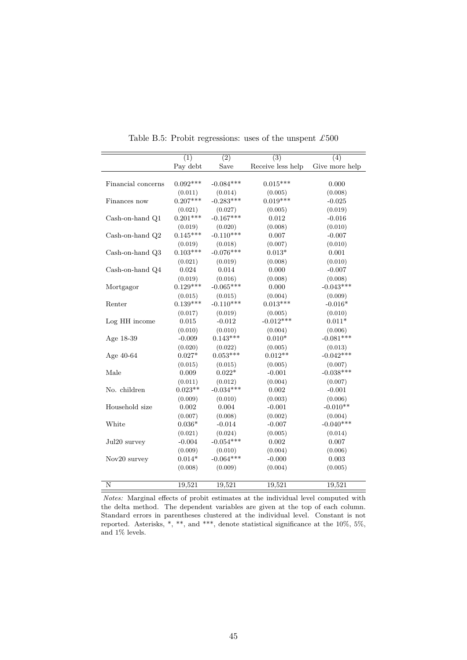<span id="page-46-0"></span>

|                    | (1)        | $\overline{(2)}$ | $\overline{(3)}$  | (4)            |
|--------------------|------------|------------------|-------------------|----------------|
|                    | Pay debt   | Save             | Receive less help | Give more help |
|                    |            |                  |                   |                |
| Financial concerns | $0.092***$ | $-0.084***$      | $0.015***$        | 0.000          |
|                    | (0.011)    | (0.014)          | (0.005)           | (0.008)        |
| Finances now       | $0.207***$ | $-0.283***$      | $0.019***$        | $-0.025$       |
|                    | (0.021)    | (0.027)          | (0.005)           | (0.019)        |
| Cash-on-hand Q1    | $0.201***$ | $-0.167***$      | 0.012             | $-0.016$       |
|                    | (0.019)    | (0.020)          | (0.008)           | (0.010)        |
| Cash-on-hand Q2    | $0.145***$ | $-0.110***$      | 0.007             | $-0.007$       |
|                    | (0.019)    | (0.018)          | (0.007)           | (0.010)        |
| Cash-on-hand Q3    | $0.103***$ | $-0.076***$      | $0.013*$          | 0.001          |
|                    | (0.021)    | (0.019)          | (0.008)           | (0.010)        |
| Cash-on-hand Q4    | 0.024      | 0.014            | 0.000             | $-0.007$       |
|                    | (0.019)    | (0.016)          | (0.008)           | (0.008)        |
| Mortgagor          | $0.129***$ | $-0.065***$      | 0.000             | $-0.043***$    |
|                    | (0.015)    | (0.015)          | (0.004)           | (0.009)        |
| Renter             | $0.139***$ | $-0.110***$      | $0.013***$        | $-0.016*$      |
|                    | (0.017)    | (0.019)          | (0.005)           | (0.010)        |
| Log HH income      | 0.015      | $-0.012$         | $-0.012***$       | $0.011*$       |
|                    | (0.010)    | (0.010)          | (0.004)           | (0.006)        |
| Age 18-39          | $-0.009$   | $0.143***$       | $0.010*$          | $-0.081***$    |
|                    | (0.020)    | (0.022)          | (0.005)           | (0.013)        |
| Age 40-64          | $0.027*$   | $0.053***$       | $0.012**$         | $-0.042***$    |
|                    | (0.015)    | (0.015)          | (0.005)           | (0.007)        |
| Male               | 0.009      | $0.022*$         | $-0.001$          | $-0.038***$    |
|                    | (0.011)    | (0.012)          | (0.004)           | (0.007)        |
| No. children       | $0.023**$  | $-0.034***$      | 0.002             | $-0.001$       |
|                    | (0.009)    | (0.010)          | (0.003)           | (0.006)        |
| Household size     | 0.002      | 0.004            | $-0.001$          | $-0.010**$     |
|                    | (0.007)    | (0.008)          | (0.002)           | (0.004)        |
| White              | $0.036*$   | $-0.014$         | $-0.007$          | $-0.040***$    |
|                    | (0.021)    | (0.024)          | (0.005)           | (0.014)        |
| Jul20 survey       | $-0.004$   | $-0.054***$      | 0.002             | 0.007          |
|                    | (0.009)    | (0.010)          | (0.004)           | (0.006)        |
| Nov20 survey       | $0.014*$   | $-0.064***$      | $-0.000$          | $\,0.003\,$    |
|                    | (0.008)    | (0.009)          | (0.004)           | (0.005)        |
|                    |            |                  |                   |                |
| N                  | 19,521     | 19,521           | 19,521            | 19,521         |

Table B.5: Probit regressions: uses of the unspent  $\pounds 500$ 

*Notes:* Marginal effects of probit estimates at the individual level computed with the delta method. The dependent variables are given at the top of each column. Standard errors in parentheses clustered at the individual level. Constant is not reported. Asterisks, \*, \*\*, and \*\*\*, denote statistical significance at the  $10\%, 5\%,$ and 1% levels.

L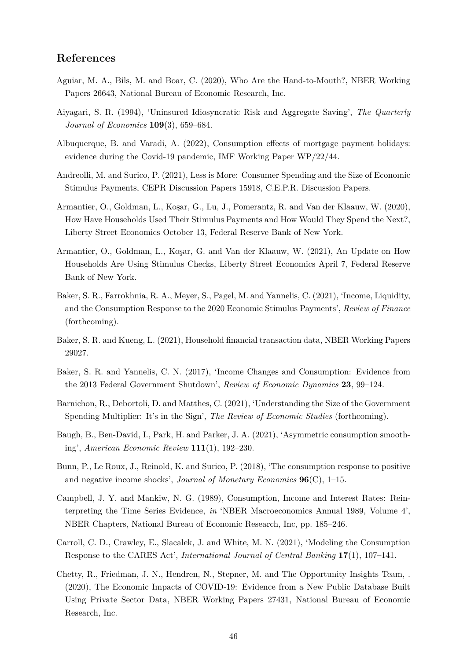### **References**

- <span id="page-47-8"></span>Aguiar, M. A., Bils, M. and Boar, C. (2020), Who Are the Hand-to-Mouth?, NBER Working Papers 26643, National Bureau of Economic Research, Inc.
- <span id="page-47-4"></span>Aiyagari, S. R. (1994), 'Uninsured Idiosyncratic Risk and Aggregate Saving', *The Quarterly Journal of Economics* **109**(3), 659–684.
- <span id="page-47-12"></span>Albuquerque, B. and Varadi, A. (2022), Consumption effects of mortgage payment holidays: evidence during the Covid-19 pandemic, IMF Working Paper WP/22/44.
- <span id="page-47-6"></span>Andreolli, M. and Surico, P. (2021), Less is More: Consumer Spending and the Size of Economic Stimulus Payments, CEPR Discussion Papers 15918, C.E.P.R. Discussion Papers.
- <span id="page-47-1"></span>Armantier, O., Goldman, L., Koşar, G., Lu, J., Pomerantz, R. and Van der Klaauw, W. (2020), How Have Households Used Their Stimulus Payments and How Would They Spend the Next?, Liberty Street Economics October 13, Federal Reserve Bank of New York.
- <span id="page-47-2"></span>Armantier, O., Goldman, L., Kosar, G. and Van der Klaauw, W. (2021), An Update on How Households Are Using Stimulus Checks, Liberty Street Economics April 7, Federal Reserve Bank of New York.
- <span id="page-47-3"></span>Baker, S. R., Farrokhnia, R. A., Meyer, S., Pagel, M. and Yannelis, C. (2021), 'Income, Liquidity, and the Consumption Response to the 2020 Economic Stimulus Payments', *Review of Finance*  (forthcoming).
- <span id="page-47-0"></span>Baker, S. R. and Kueng, L. (2021), Household fnancial transaction data, NBER Working Papers 29027.
- <span id="page-47-10"></span>Baker, S. R. and Yannelis, C. N. (2017), 'Income Changes and Consumption: Evidence from the 2013 Federal Government Shutdown', *Review of Economic Dynamics* **23**, 99–124.
- <span id="page-47-14"></span>Barnichon, R., Debortoli, D. and Matthes, C. (2021), 'Understanding the Size of the Government Spending Multiplier: It's in the Sign', *The Review of Economic Studies* (forthcoming).
- <span id="page-47-7"></span>Baugh, B., Ben-David, I., Park, H. and Parker, J. A. (2021), 'Asymmetric consumption smoothing', *American Economic Review* **111**(1), 192–230.
- <span id="page-47-5"></span>Bunn, P., Le Roux, J., Reinold, K. and Surico, P. (2018), 'The consumption response to positive and negative income shocks', *Journal of Monetary Economics* **96**(C), 1–15.
- <span id="page-47-11"></span>Campbell, J. Y. and Mankiw, N. G. (1989), Consumption, Income and Interest Rates: Reinterpreting the Time Series Evidence, *in* 'NBER Macroeconomics Annual 1989, Volume 4', NBER Chapters, National Bureau of Economic Research, Inc, pp. 185–246.
- <span id="page-47-13"></span>Carroll, C. D., Crawley, E., Slacalek, J. and White, M. N. (2021), 'Modeling the Consumption Response to the CARES Act', *International Journal of Central Banking* **17**(1), 107–141.
- <span id="page-47-9"></span>Chetty, R., Friedman, J. N., Hendren, N., Stepner, M. and The Opportunity Insights Team, . (2020), The Economic Impacts of COVID-19: Evidence from a New Public Database Built Using Private Sector Data, NBER Working Papers 27431, National Bureau of Economic Research, Inc.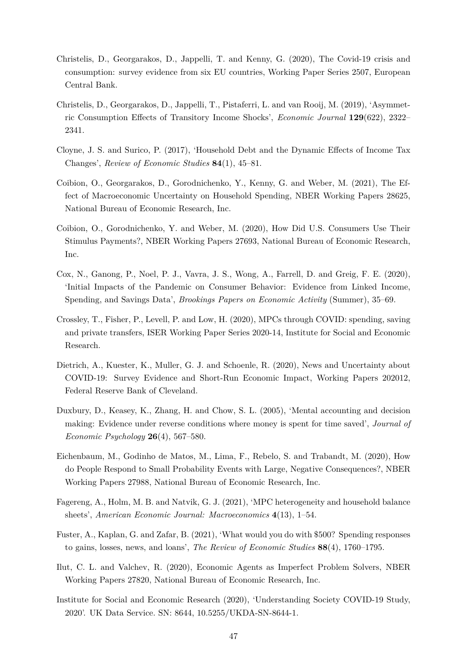- <span id="page-48-0"></span>Christelis, D., Georgarakos, D., Jappelli, T. and Kenny, G. (2020), The Covid-19 crisis and consumption: survey evidence from six EU countries, Working Paper Series 2507, European Central Bank.
- <span id="page-48-6"></span>Christelis, D., Georgarakos, D., Jappelli, T., Pistaferri, L. and van Rooij, M. (2019), 'Asymmetric Consumption Effects of Transitory Income Shocks', *Economic Journal* **129**(622), 2322– 2341.
- <span id="page-48-8"></span>Cloyne, J. S. and Surico, P. (2017), 'Household Debt and the Dynamic Effects of Income Tax Changes', *Review of Economic Studies* **84**(1), 45–81.
- <span id="page-48-7"></span>Coibion, O., Georgarakos, D., Gorodnichenko, Y., Kenny, G. and Weber, M. (2021), The Effect of Macroeconomic Uncertainty on Household Spending, NBER Working Papers 28625, National Bureau of Economic Research, Inc.
- <span id="page-48-1"></span>Coibion, O., Gorodnichenko, Y. and Weber, M. (2020), How Did U.S. Consumers Use Their Stimulus Payments?, NBER Working Papers 27693, National Bureau of Economic Research, Inc.
- <span id="page-48-3"></span>Cox, N., Ganong, P., Noel, P. J., Vavra, J. S., Wong, A., Farrell, D. and Greig, F. E. (2020), 'Initial Impacts of the Pandemic on Consumer Behavior: Evidence from Linked Income, Spending, and Savings Data', *Brookings Papers on Economic Activity* (Summer), 35–69.
- <span id="page-48-2"></span>Crossley, T., Fisher, P., Levell, P. and Low, H. (2020), MPCs through COVID: spending, saving and private transfers, ISER Working Paper Series 2020-14, Institute for Social and Economic Research.
- <span id="page-48-13"></span>Dietrich, A., Kuester, K., Muller, G. J. and Schoenle, R. (2020), News and Uncertainty about COVID-19: Survey Evidence and Short-Run Economic Impact, Working Papers 202012, Federal Reserve Bank of Cleveland.
- <span id="page-48-10"></span>Duxbury, D., Keasey, K., Zhang, H. and Chow, S. L. (2005), 'Mental accounting and decision making: Evidence under reverse conditions where money is spent for time saved', *Journal of Economic Psychology* **26**(4), 567–580.
- <span id="page-48-12"></span>Eichenbaum, M., Godinho de Matos, M., Lima, F., Rebelo, S. and Trabandt, M. (2020), How do People Respond to Small Probability Events with Large, Negative Consequences?, NBER Working Papers 27988, National Bureau of Economic Research, Inc.
- <span id="page-48-9"></span>Fagereng, A., Holm, M. B. and Natvik, G. J. (2021), 'MPC heterogeneity and household balance sheets', *American Economic Journal: Macroeconomics* **4**(13), 1–54.
- <span id="page-48-5"></span>Fuster, A., Kaplan, G. and Zafar, B. (2021), 'What would you do with \$500? Spending responses to gains, losses, news, and loans', *The Review of Economic Studies* **88**(4), 1760–1795.
- <span id="page-48-11"></span>Ilut, C. L. and Valchev, R. (2020), Economic Agents as Imperfect Problem Solvers, NBER Working Papers 27820, National Bureau of Economic Research, Inc.
- <span id="page-48-4"></span>Institute for Social and Economic Research (2020), 'Understanding Society COVID-19 Study, 2020'. UK Data Service. SN: 8644, 10.5255/UKDA-SN-8644-1.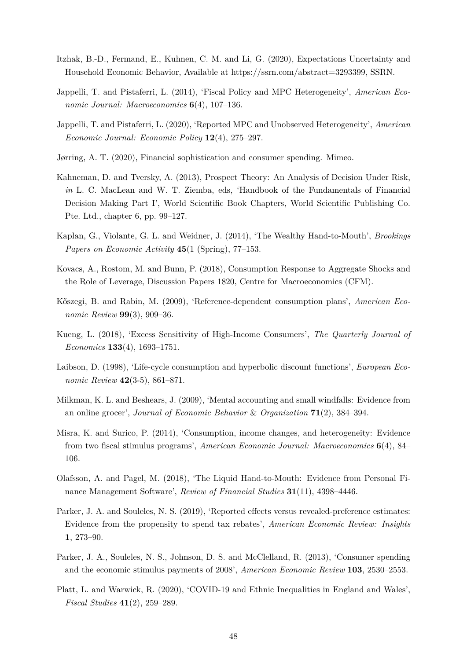- <span id="page-49-14"></span>Itzhak, B.-D., Fermand, E., Kuhnen, C. M. and Li, G. (2020), Expectations Uncertainty and Household Economic Behavior, Available at [https://ssrn.com/abstract=3293399,](https://ssrn.com/abstract=3293399) SSRN.
- <span id="page-49-0"></span>Jappelli, T. and Pistaferri, L. (2014), 'Fiscal Policy and MPC Heterogeneity', *American Economic Journal: Macroeconomics* **6**(4), 107–136.
- <span id="page-49-1"></span>Jappelli, T. and Pistaferri, L. (2020), 'Reported MPC and Unobserved Heterogeneity', *American Economic Journal: Economic Policy* **12**(4), 275–297.
- <span id="page-49-7"></span>Jørring, A. T. (2020), Financial sophistication and consumer spending. Mimeo.
- <span id="page-49-5"></span>Kahneman, D. and Tversky, A. (2013), Prospect Theory: An Analysis of Decision Under Risk, *in* L. C. MacLean and W. T. Ziemba, eds, 'Handbook of the Fundamentals of Financial Decision Making Part I', World Scientifc Book Chapters, World Scientifc Publishing Co. Pte. Ltd., chapter 6, pp. 99–127.
- <span id="page-49-3"></span>Kaplan, G., Violante, G. L. and Weidner, J. (2014), 'The Wealthy Hand-to-Mouth', *Brookings Papers on Economic Activity* **45**(1 (Spring), 77–153.
- <span id="page-49-10"></span>Kovacs, A., Rostom, M. and Bunn, P. (2018), Consumption Response to Aggregate Shocks and the Role of Leverage, Discussion Papers 1820, Centre for Macroeconomics (CFM).
- <span id="page-49-15"></span>K®szegi, B. and Rabin, M. (2009), 'Reference-dependent consumption plans', *American Economic Review* **99**(3), 909–36.
- <span id="page-49-12"></span>Kueng, L. (2018), 'Excess Sensitivity of High-Income Consumers', *The Quarterly Journal of Economics* **133**(4), 1693–1751.
- <span id="page-49-6"></span>Laibson, D. (1998), 'Life-cycle consumption and hyperbolic discount functions', *European Economic Review* **42**(3-5), 861–871.
- <span id="page-49-4"></span>Milkman, K. L. and Beshears, J. (2009), 'Mental accounting and small windfalls: Evidence from an online grocer', *Journal of Economic Behavior* & *Organization* **71**(2), 384–394.
- <span id="page-49-9"></span>Misra, K. and Surico, P. (2014), 'Consumption, income changes, and heterogeneity: Evidence from two fscal stimulus programs', *American Economic Journal: Macroeconomics* **6**(4), 84– 106.
- <span id="page-49-13"></span>Olafsson, A. and Pagel, M. (2018), 'The Liquid Hand-to-Mouth: Evidence from Personal Finance Management Software', *Review of Financial Studies* **31**(11), 4398–4446.
- <span id="page-49-2"></span>Parker, J. A. and Souleles, N. S. (2019), 'Reported effects versus revealed-preference estimates: Evidence from the propensity to spend tax rebates', *American Economic Review: Insights*  **1**, 273–90.
- <span id="page-49-8"></span>Parker, J. A., Souleles, N. S., Johnson, D. S. and McClelland, R. (2013), 'Consumer spending and the economic stimulus payments of 2008', *American Economic Review* **103**, 2530–2553.
- <span id="page-49-11"></span>Platt, L. and Warwick, R. (2020), 'COVID-19 and Ethnic Inequalities in England and Wales', *Fiscal Studies* **41**(2), 259–289.